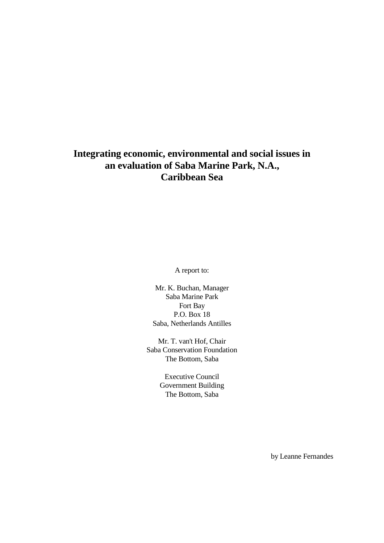# **Integrating economic, environmental and social issues in an evaluation of Saba Marine Park, N.A., Caribbean Sea**

A report to:

 Mr. K. Buchan, Manager Saba Marine Park Fort Bay P.O. Box 18 Saba, Netherlands Antilles

 Mr. T. van't Hof, Chair Saba Conservation Foundation The Bottom, Saba

> Executive Council Government Building The Bottom, Saba

> > by Leanne Fernandes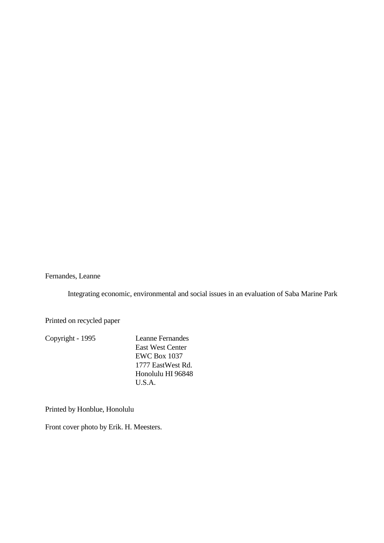Fernandes, Leanne

Integrating economic, environmental and social issues in an evaluation of Saba Marine Park

Printed on recycled paper

Copyright - 1995 Leanne Fernandes East West Center EWC Box 1037 1777 EastWest Rd. Honolulu HI 96848 U.S.A.

Printed by Honblue, Honolulu

Front cover photo by Erik. H. Meesters.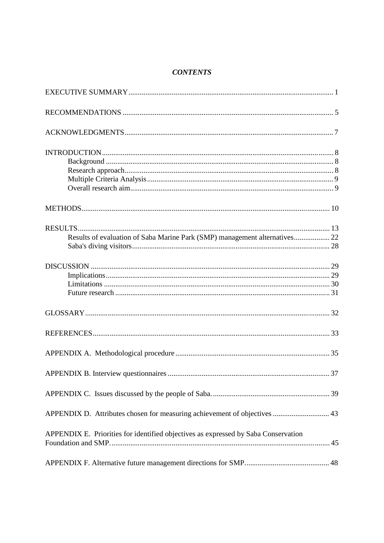# **CONTENTS**

| Results of evaluation of Saba Marine Park (SMP) management alternatives 22         |  |
|------------------------------------------------------------------------------------|--|
|                                                                                    |  |
|                                                                                    |  |
|                                                                                    |  |
|                                                                                    |  |
|                                                                                    |  |
|                                                                                    |  |
|                                                                                    |  |
|                                                                                    |  |
|                                                                                    |  |
|                                                                                    |  |
| APPENDIX D. Attributes chosen for measuring achievement of objectives  43          |  |
| APPENDIX E. Priorities for identified objectives as expressed by Saba Conservation |  |
|                                                                                    |  |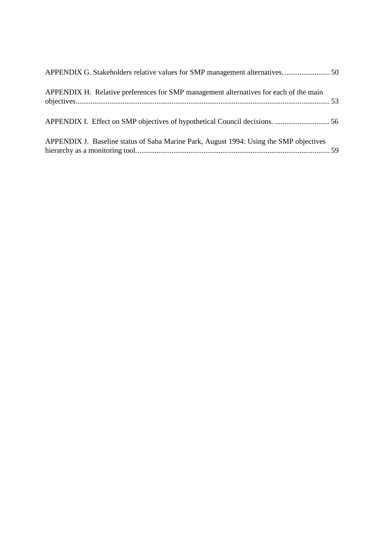| APPENDIX H. Relative preferences for SMP management alternatives for each of the main  |  |
|----------------------------------------------------------------------------------------|--|
|                                                                                        |  |
| APPENDIX J. Baseline status of Saba Marine Park, August 1994: Using the SMP objectives |  |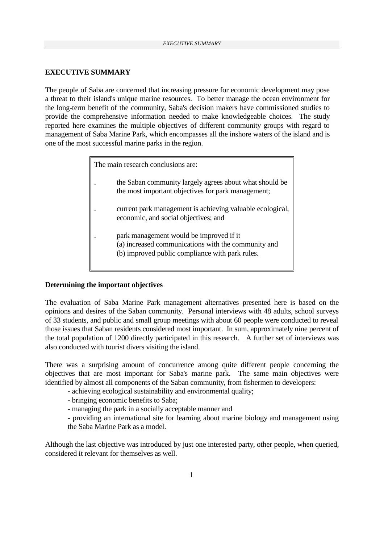## **EXECUTIVE SUMMARY**

The people of Saba are concerned that increasing pressure for economic development may pose a threat to their island's unique marine resources. To better manage the ocean environment for the long-term benefit of the community, Saba's decision makers have commissioned studies to provide the comprehensive information needed to make knowledgeable choices. The study reported here examines the multiple objectives of different community groups with regard to management of Saba Marine Park, which encompasses all the inshore waters of the island and is one of the most successful marine parks in the region.

| The main research conclusions are:                                                                                                                |
|---------------------------------------------------------------------------------------------------------------------------------------------------|
| the Saban community largely agrees about what should be<br>the most important objectives for park management;                                     |
| current park management is achieving valuable ecological<br>economic, and social objectives; and                                                  |
| park management would be improved if it<br>(a) increased communications with the community and<br>(b) improved public compliance with park rules. |

## **Determining the important objectives**

The evaluation of Saba Marine Park management alternatives presented here is based on the opinions and desires of the Saban community. Personal interviews with 48 adults, school surveys of 33 students, and public and small group meetings with about 60 people were conducted to reveal those issues that Saban residents considered most important. In sum, approximately nine percent of the total population of 1200 directly participated in this research. A further set of interviews was also conducted with tourist divers visiting the island.

There was a surprising amount of concurrence among quite different people concerning the objectives that are most important for Saba's marine park. The same main objectives were identified by almost all components of the Saban community, from fishermen to developers:

- achieving ecological sustainability and environmental quality;
- bringing economic benefits to Saba;
- managing the park in a socially acceptable manner and

- providing an international site for learning about marine biology and management using the Saba Marine Park as a model.

Although the last objective was introduced by just one interested party, other people, when queried, considered it relevant for themselves as well.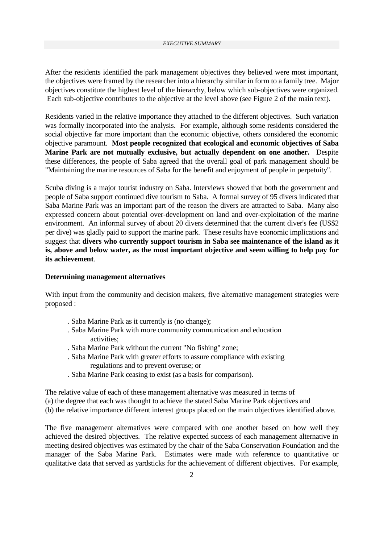After the residents identified the park management objectives they believed were most important, the objectives were framed by the researcher into a hierarchy similar in form to a family tree. Major objectives constitute the highest level of the hierarchy, below which sub-objectives were organized. Each sub-objective contributes to the objective at the level above (see Figure 2 of the main text).

Residents varied in the relative importance they attached to the different objectives. Such variation was formally incorporated into the analysis. For example, although some residents considered the social objective far more important than the economic objective, others considered the economic objective paramount. **Most people recognized that ecological and economic objectives of Saba Marine Park are not mutually exclusive, but actually dependent on one another.** Despite these differences, the people of Saba agreed that the overall goal of park management should be "Maintaining the marine resources of Saba for the benefit and enjoyment of people in perpetuity".

Scuba diving is a major tourist industry on Saba. Interviews showed that both the government and people of Saba support continued dive tourism to Saba. A formal survey of 95 divers indicated that Saba Marine Park was an important part of the reason the divers are attracted to Saba. Many also expressed concern about potential over-development on land and over-exploitation of the marine environment. An informal survey of about 20 divers determined that the current diver's fee (US\$2 per dive) was gladly paid to support the marine park. These results have economic implications and suggest that **divers who currently support tourism in Saba see maintenance of the island as it is, above and below water, as the most important objective and seem willing to help pay for its achievement**.

#### **Determining management alternatives**

With input from the community and decision makers, five alternative management strategies were proposed :

- . Saba Marine Park as it currently is (no change);
- . Saba Marine Park with more community communication and education activities;
- . Saba Marine Park without the current "No fishing" zone;
- . Saba Marine Park with greater efforts to assure compliance with existing regulations and to prevent overuse; or
- . Saba Marine Park ceasing to exist (as a basis for comparison).

The relative value of each of these management alternative was measured in terms of (a) the degree that each was thought to achieve the stated Saba Marine Park objectives and (b) the relative importance different interest groups placed on the main objectives identified above.

The five management alternatives were compared with one another based on how well they achieved the desired objectives. The relative expected success of each management alternative in meeting desired objectives was estimated by the chair of the Saba Conservation Foundation and the manager of the Saba Marine Park. Estimates were made with reference to quantitative or qualitative data that served as yardsticks for the achievement of different objectives. For example,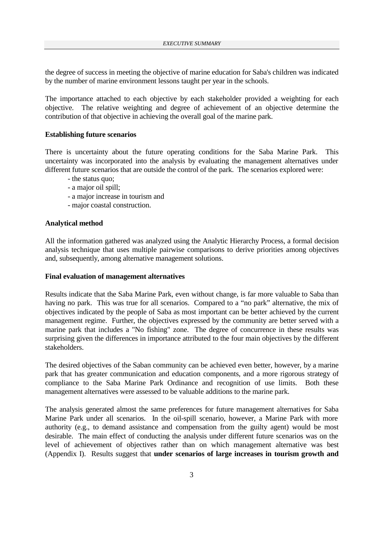the degree of success in meeting the objective of marine education for Saba's children was indicated by the number of marine environment lessons taught per year in the schools.

The importance attached to each objective by each stakeholder provided a weighting for each objective. The relative weighting and degree of achievement of an objective determine the contribution of that objective in achieving the overall goal of the marine park.

## **Establishing future scenarios**

There is uncertainty about the future operating conditions for the Saba Marine Park. This uncertainty was incorporated into the analysis by evaluating the management alternatives under different future scenarios that are outside the control of the park. The scenarios explored were:

- the status quo;
- a major oil spill;
- a major increase in tourism and
- major coastal construction.

## **Analytical method**

All the information gathered was analyzed using the Analytic Hierarchy Process, a formal decision analysis technique that uses multiple pairwise comparisons to derive priorities among objectives and, subsequently, among alternative management solutions.

#### **Final evaluation of management alternatives**

Results indicate that the Saba Marine Park, even without change, is far more valuable to Saba than having no park. This was true for all scenarios. Compared to a "no park" alternative, the mix of objectives indicated by the people of Saba as most important can be better achieved by the current management regime. Further, the objectives expressed by the community are better served with a marine park that includes a "No fishing" zone. The degree of concurrence in these results was surprising given the differences in importance attributed to the four main objectives by the different stakeholders.

The desired objectives of the Saban community can be achieved even better, however, by a marine park that has greater communication and education components, and a more rigorous strategy of compliance to the Saba Marine Park Ordinance and recognition of use limits. Both these management alternatives were assessed to be valuable additions to the marine park.

The analysis generated almost the same preferences for future management alternatives for Saba Marine Park under all scenarios. In the oil-spill scenario, however, a Marine Park with more authority (e.g., to demand assistance and compensation from the guilty agent) would be most desirable. The main effect of conducting the analysis under different future scenarios was on the level of achievement of objectives rather than on which management alternative was best (Appendix I). Results suggest that **under scenarios of large increases in tourism growth and**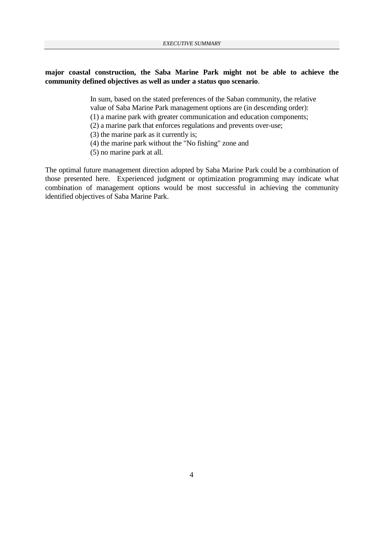# **major coastal construction, the Saba Marine Park might not be able to achieve the community defined objectives as well as under a status quo scenario**.

In sum, based on the stated preferences of the Saban community, the relative value of Saba Marine Park management options are (in descending order): (1) a marine park with greater communication and education components;

- (2) a marine park that enforces regulations and prevents over-use;
- (3) the marine park as it currently is;
- (4) the marine park without the "No fishing" zone and
- (5) no marine park at all.

The optimal future management direction adopted by Saba Marine Park could be a combination of those presented here. Experienced judgment or optimization programming may indicate what combination of management options would be most successful in achieving the community identified objectives of Saba Marine Park.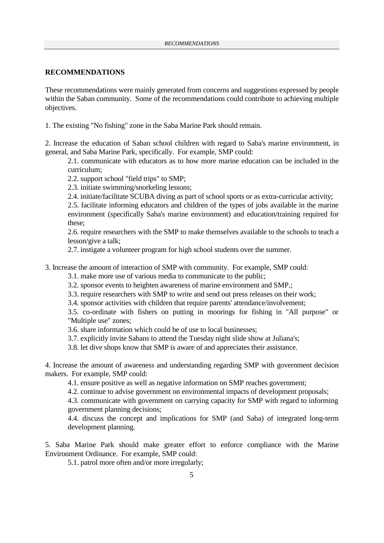## **RECOMMENDATIONS**

These recommendations were mainly generated from concerns and suggestions expressed by people within the Saban community. Some of the recommendations could contribute to achieving multiple objectives.

1. The existing "No fishing" zone in the Saba Marine Park should remain.

2. Increase the education of Saban school children with regard to Saba's marine environment, in general, and Saba Marine Park, specifically. For example, SMP could:

 2.1. communicate with educators as to how more marine education can be included in the curriculum;

2.2. support school "field trips" to SMP;

2.3. initiate swimming/snorkeling lessons;

2.4. initiate/facilitate SCUBA diving as part of school sports or as extra-curricular activity;

 2.5. facilitate informing educators and children of the types of jobs available in the marine environment (specifically Saba's marine environment) and education/training required for these;

 2.6. require researchers with the SMP to make themselves available to the schools to teach a lesson/give a talk;

2.7. instigate a volunteer program for high school students over the summer.

3. Increase the amount of interaction of SMP with community. For example, SMP could:

3.1. make more use of various media to communicate to the public;

- 3.2. sponsor events to heighten awareness of marine environment and SMP.;
- 3.3. require researchers with SMP to write and send out press releases on their work;
- 3.4. sponsor activities with children that require parents' attendance/involvement;

 3.5. co-ordinate with fishers on putting in moorings for fishing in "All purpose" or "Multiple use" zones;

3.6. share information which could be of use to local businesses;

3.7. explicitly invite Sabans to attend the Tuesday night slide show at Juliana's;

3.8. let dive shops know that SMP is aware of and appreciates their assistance.

4. Increase the amount of awareness and understanding regarding SMP with government decision makers. For example, SMP could:

4.1. ensure positive as well as negative information on SMP reaches government;

4.2. continue to advise government on environmental impacts of development proposals;

 4.3. communicate with government on carrying capacity for SMP with regard to informing government planning decisions;

 4.4. discuss the concept and implications for SMP (and Saba) of integrated long-term development planning.

5. Saba Marine Park should make greater effort to enforce compliance with the Marine Environment Ordinance. For example, SMP could:

5.1. patrol more often and/or more irregularly;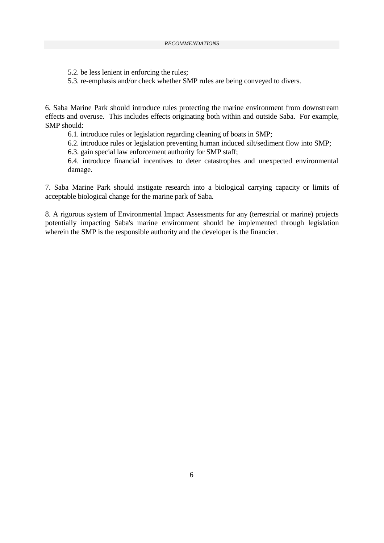5.2. be less lenient in enforcing the rules;

5.3. re-emphasis and/or check whether SMP rules are being conveyed to divers.

6. Saba Marine Park should introduce rules protecting the marine environment from downstream effects and overuse. This includes effects originating both within and outside Saba. For example, SMP should:

6.1. introduce rules or legislation regarding cleaning of boats in SMP;

6.2. introduce rules or legislation preventing human induced silt/sediment flow into SMP;

6.3. gain special law enforcement authority for SMP staff;

 6.4. introduce financial incentives to deter catastrophes and unexpected environmental damage.

7. Saba Marine Park should instigate research into a biological carrying capacity or limits of acceptable biological change for the marine park of Saba.

8. A rigorous system of Environmental Impact Assessments for any (terrestrial or marine) projects potentially impacting Saba's marine environment should be implemented through legislation wherein the SMP is the responsible authority and the developer is the financier.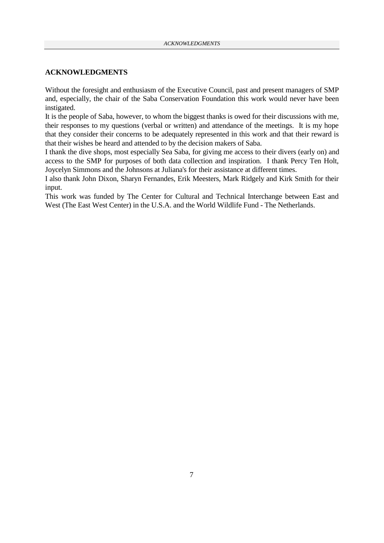## **ACKNOWLEDGMENTS**

Without the foresight and enthusiasm of the Executive Council, past and present managers of SMP and, especially, the chair of the Saba Conservation Foundation this work would never have been instigated.

It is the people of Saba, however, to whom the biggest thanks is owed for their discussions with me, their responses to my questions (verbal or written) and attendance of the meetings. It is my hope that they consider their concerns to be adequately represented in this work and that their reward is that their wishes be heard and attended to by the decision makers of Saba.

I thank the dive shops, most especially Sea Saba, for giving me access to their divers (early on) and access to the SMP for purposes of both data collection and inspiration. I thank Percy Ten Holt, Joycelyn Simmons and the Johnsons at Juliana's for their assistance at different times.

I also thank John Dixon, Sharyn Fernandes, Erik Meesters, Mark Ridgely and Kirk Smith for their input.

This work was funded by The Center for Cultural and Technical Interchange between East and West (The East West Center) in the U.S.A. and the World Wildlife Fund - The Netherlands.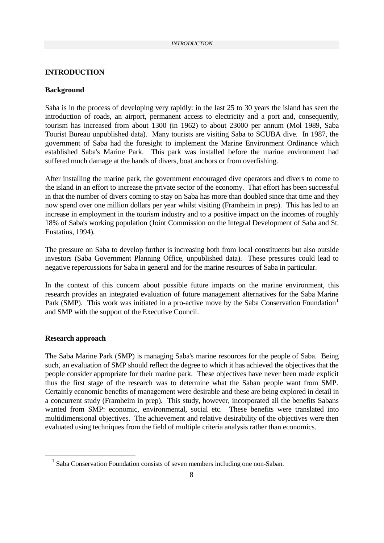## **INTRODUCTION**

## **Background**

Saba is in the process of developing very rapidly: in the last 25 to 30 years the island has seen the introduction of roads, an airport, permanent access to electricity and a port and, consequently, tourism has increased from about 1300 (in 1962) to about 23000 per annum (Mol 1989, Saba Tourist Bureau unpublished data). Many tourists are visiting Saba to SCUBA dive. In 1987, the government of Saba had the foresight to implement the Marine Environment Ordinance which established Saba's Marine Park. This park was installed before the marine environment had suffered much damage at the hands of divers, boat anchors or from overfishing.

After installing the marine park, the government encouraged dive operators and divers to come to the island in an effort to increase the private sector of the economy. That effort has been successful in that the number of divers coming to stay on Saba has more than doubled since that time and they now spend over one million dollars per year whilst visiting (Framheim in prep). This has led to an increase in employment in the tourism industry and to a positive impact on the incomes of roughly 18% of Saba's working population (Joint Commission on the Integral Development of Saba and St. Eustatius, 1994).

The pressure on Saba to develop further is increasing both from local constituents but also outside investors (Saba Government Planning Office, unpublished data). These pressures could lead to negative repercussions for Saba in general and for the marine resources of Saba in particular.

In the context of this concern about possible future impacts on the marine environment, this research provides an integrated evaluation of future management alternatives for the Saba Marine Park (SMP). This work was initiated in a pro-active move by the Saba Conservation Foundation<sup>1</sup> and SMP with the support of the Executive Council.

#### **Research approach**

l

The Saba Marine Park (SMP) is managing Saba's marine resources for the people of Saba. Being such, an evaluation of SMP should reflect the degree to which it has achieved the objectives that the people consider appropriate for their marine park. These objectives have never been made explicit thus the first stage of the research was to determine what the Saban people want from SMP. Certainly economic benefits of management were desirable and these are being explored in detail in a concurrent study (Framheim in prep). This study, however, incorporated all the benefits Sabans wanted from SMP: economic, environmental, social etc. These benefits were translated into multidimensional objectives. The achievement and relative desirability of the objectives were then evaluated using techniques from the field of multiple criteria analysis rather than economics.

<sup>&</sup>lt;sup>1</sup> Saba Conservation Foundation consists of seven members including one non-Saban.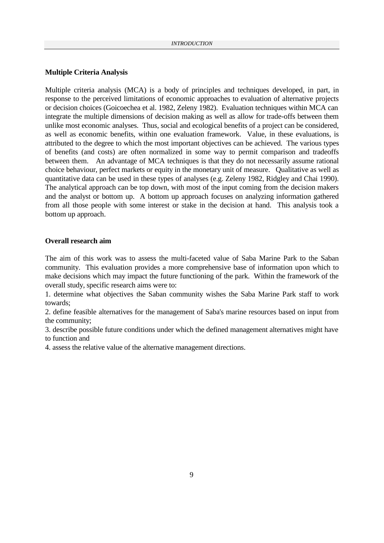## **Multiple Criteria Analysis**

Multiple criteria analysis (MCA) is a body of principles and techniques developed, in part, in response to the perceived limitations of economic approaches to evaluation of alternative projects or decision choices (Goicoechea et al. 1982, Zeleny 1982). Evaluation techniques within MCA can integrate the multiple dimensions of decision making as well as allow for trade-offs between them unlike most economic analyses. Thus, social and ecological benefits of a project can be considered, as well as economic benefits, within one evaluation framework. Value, in these evaluations, is attributed to the degree to which the most important objectives can be achieved. The various types of benefits (and costs) are often normalized in some way to permit comparison and tradeoffs between them. An advantage of MCA techniques is that they do not necessarily assume rational choice behaviour, perfect markets or equity in the monetary unit of measure. Qualitative as well as quantitative data can be used in these types of analyses (e.g. Zeleny 1982, Ridgley and Chai 1990). The analytical approach can be top down, with most of the input coming from the decision makers and the analyst or bottom up. A bottom up approach focuses on analyzing information gathered from all those people with some interest or stake in the decision at hand. This analysis took a bottom up approach.

## **Overall research aim**

The aim of this work was to assess the multi-faceted value of Saba Marine Park to the Saban community. This evaluation provides a more comprehensive base of information upon which to make decisions which may impact the future functioning of the park. Within the framework of the overall study, specific research aims were to:

1. determine what objectives the Saban community wishes the Saba Marine Park staff to work towards;

2. define feasible alternatives for the management of Saba's marine resources based on input from the community;

3. describe possible future conditions under which the defined management alternatives might have to function and

4. assess the relative value of the alternative management directions.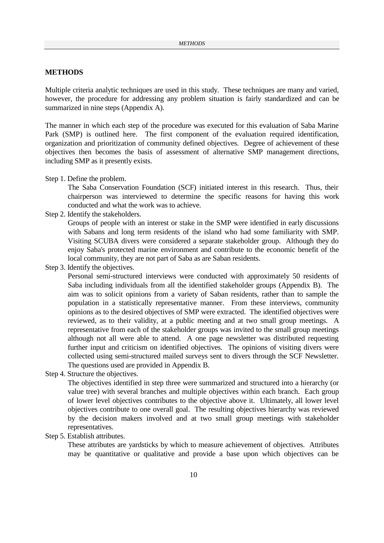#### **METHODS**

Multiple criteria analytic techniques are used in this study. These techniques are many and varied, however, the procedure for addressing any problem situation is fairly standardized and can be summarized in nine steps (Appendix A).

The manner in which each step of the procedure was executed for this evaluation of Saba Marine Park (SMP) is outlined here. The first component of the evaluation required identification, organization and prioritization of community defined objectives. Degree of achievement of these objectives then becomes the basis of assessment of alternative SMP management directions, including SMP as it presently exists.

Step 1. Define the problem.

 The Saba Conservation Foundation (SCF) initiated interest in this research. Thus, their chairperson was interviewed to determine the specific reasons for having this work conducted and what the work was to achieve.

Step 2. Identify the stakeholders.

 Groups of people with an interest or stake in the SMP were identified in early discussions with Sabans and long term residents of the island who had some familiarity with SMP. Visiting SCUBA divers were considered a separate stakeholder group. Although they do enjoy Saba's protected marine environment and contribute to the economic benefit of the local community, they are not part of Saba as are Saban residents.

Step 3. Identify the objectives.

 Personal semi-structured interviews were conducted with approximately 50 residents of Saba including individuals from all the identified stakeholder groups (Appendix B). The aim was to solicit opinions from a variety of Saban residents, rather than to sample the population in a statistically representative manner. From these interviews, community opinions as to the desired objectives of SMP were extracted. The identified objectives were reviewed, as to their validity, at a public meeting and at two small group meetings. A representative from each of the stakeholder groups was invited to the small group meetings although not all were able to attend. A one page newsletter was distributed requesting further input and criticism on identified objectives. The opinions of visiting divers were collected using semi-structured mailed surveys sent to divers through the SCF Newsletter. The questions used are provided in Appendix B.

Step 4. Structure the objectives.

 The objectives identified in step three were summarized and structured into a hierarchy (or value tree) with several branches and multiple objectives within each branch. Each group of lower level objectives contributes to the objective above it. Ultimately, all lower level objectives contribute to one overall goal. The resulting objectives hierarchy was reviewed by the decision makers involved and at two small group meetings with stakeholder representatives.

Step 5. Establish attributes.

 These attributes are yardsticks by which to measure achievement of objectives. Attributes may be quantitative or qualitative and provide a base upon which objectives can be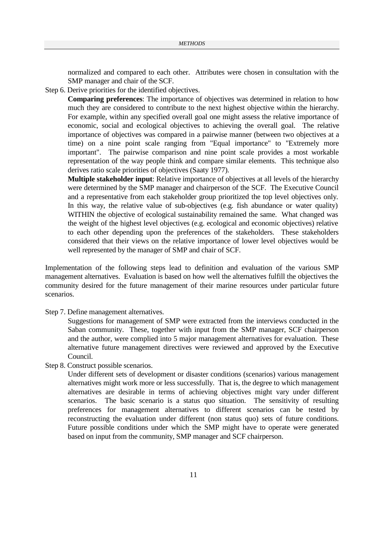normalized and compared to each other. Attributes were chosen in consultation with the SMP manager and chair of the SCF.

Step 6. Derive priorities for the identified objectives.

 **Comparing preferences**: The importance of objectives was determined in relation to how much they are considered to contribute to the next highest objective within the hierarchy. For example, within any specified overall goal one might assess the relative importance of economic, social and ecological objectives to achieving the overall goal. The relative importance of objectives was compared in a pairwise manner (between two objectives at a time) on a nine point scale ranging from "Equal importance" to "Extremely more important". The pairwise comparison and nine point scale provides a most workable representation of the way people think and compare similar elements. This technique also derives ratio scale priorities of objectives (Saaty 1977).

 **Multiple stakeholder input**: Relative importance of objectives at all levels of the hierarchy were determined by the SMP manager and chairperson of the SCF. The Executive Council and a representative from each stakeholder group prioritized the top level objectives only. In this way, the relative value of sub-objectives (e.g. fish abundance or water quality) WITHIN the objective of ecological sustainability remained the same. What changed was the weight of the highest level objectives (e.g. ecological and economic objectives) relative to each other depending upon the preferences of the stakeholders. These stakeholders considered that their views on the relative importance of lower level objectives would be well represented by the manager of SMP and chair of SCF.

Implementation of the following steps lead to definition and evaluation of the various SMP management alternatives. Evaluation is based on how well the alternatives fulfill the objectives the community desired for the future management of their marine resources under particular future scenarios.

Step 7. Define management alternatives.

 Suggestions for management of SMP were extracted from the interviews conducted in the Saban community. These, together with input from the SMP manager, SCF chairperson and the author, were complied into 5 major management alternatives for evaluation. These alternative future management directives were reviewed and approved by the Executive Council.

Step 8. Construct possible scenarios.

 Under different sets of development or disaster conditions (scenarios) various management alternatives might work more or less successfully. That is, the degree to which management alternatives are desirable in terms of achieving objectives might vary under different scenarios. The basic scenario is a status quo situation. The sensitivity of resulting preferences for management alternatives to different scenarios can be tested by reconstructing the evaluation under different (non status quo) sets of future conditions. Future possible conditions under which the SMP might have to operate were generated based on input from the community, SMP manager and SCF chairperson.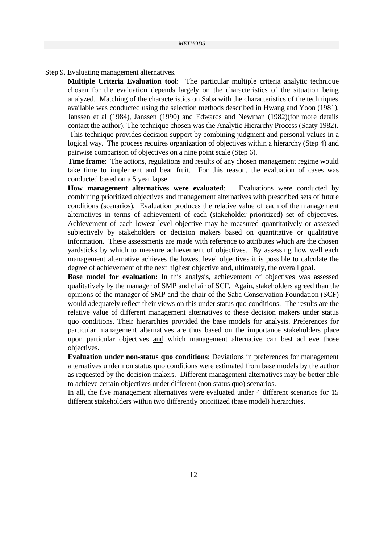#### Step 9. Evaluating management alternatives.

 **Multiple Criteria Evaluation tool**: The particular multiple criteria analytic technique chosen for the evaluation depends largely on the characteristics of the situation being analyzed. Matching of the characteristics on Saba with the characteristics of the techniques available was conducted using the selection methods described in Hwang and Yoon (1981), Janssen et al (1984), Janssen (1990) and Edwards and Newman (1982)(for more details contact the author). The technique chosen was the Analytic Hierarchy Process (Saaty 1982). This technique provides decision support by combining judgment and personal values in a logical way. The process requires organization of objectives within a hierarchy (Step 4) and pairwise comparison of objectives on a nine point scale (Step 6).

**Time frame:** The actions, regulations and results of any chosen management regime would take time to implement and bear fruit. For this reason, the evaluation of cases was conducted based on a 5 year lapse.

 **How management alternatives were evaluated**: Evaluations were conducted by combining prioritized objectives and management alternatives with prescribed sets of future conditions (scenarios). Evaluation produces the relative value of each of the management alternatives in terms of achievement of each (stakeholder prioritized) set of objectives. Achievement of each lowest level objective may be measured quantitatively or assessed subjectively by stakeholders or decision makers based on quantitative or qualitative information. These assessments are made with reference to attributes which are the chosen yardsticks by which to measure achievement of objectives. By assessing how well each management alternative achieves the lowest level objectives it is possible to calculate the degree of achievement of the next highest objective and, ultimately, the overall goal.

 **Base model for evaluation:** In this analysis, achievement of objectives was assessed qualitatively by the manager of SMP and chair of SCF. Again, stakeholders agreed than the opinions of the manager of SMP and the chair of the Saba Conservation Foundation (SCF) would adequately reflect their views on this under status quo conditions. The results are the relative value of different management alternatives to these decision makers under status quo conditions. Their hierarchies provided the base models for analysis. Preferences for particular management alternatives are thus based on the importance stakeholders place upon particular objectives and which management alternative can best achieve those objectives.

 **Evaluation under non-status quo conditions**: Deviations in preferences for management alternatives under non status quo conditions were estimated from base models by the author as requested by the decision makers. Different management alternatives may be better able to achieve certain objectives under different (non status quo) scenarios.

 In all, the five management alternatives were evaluated under 4 different scenarios for 15 different stakeholders within two differently prioritized (base model) hierarchies.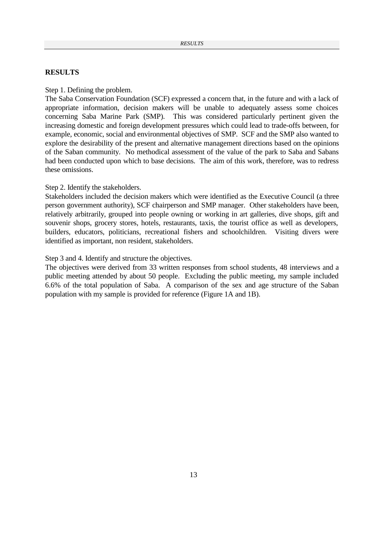## **RESULTS**

## Step 1. Defining the problem.

The Saba Conservation Foundation (SCF) expressed a concern that, in the future and with a lack of appropriate information, decision makers will be unable to adequately assess some choices concerning Saba Marine Park (SMP). This was considered particularly pertinent given the increasing domestic and foreign development pressures which could lead to trade-offs between, for example, economic, social and environmental objectives of SMP. SCF and the SMP also wanted to explore the desirability of the present and alternative management directions based on the opinions of the Saban community. No methodical assessment of the value of the park to Saba and Sabans had been conducted upon which to base decisions. The aim of this work, therefore, was to redress these omissions.

## Step 2. Identify the stakeholders.

Stakeholders included the decision makers which were identified as the Executive Council (a three person government authority), SCF chairperson and SMP manager. Other stakeholders have been, relatively arbitrarily, grouped into people owning or working in art galleries, dive shops, gift and souvenir shops, grocery stores, hotels, restaurants, taxis, the tourist office as well as developers, builders, educators, politicians, recreational fishers and schoolchildren. Visiting divers were identified as important, non resident, stakeholders.

## Step 3 and 4. Identify and structure the objectives.

The objectives were derived from 33 written responses from school students, 48 interviews and a public meeting attended by about 50 people. Excluding the public meeting, my sample included 6.6% of the total population of Saba. A comparison of the sex and age structure of the Saban population with my sample is provided for reference (Figure 1A and 1B).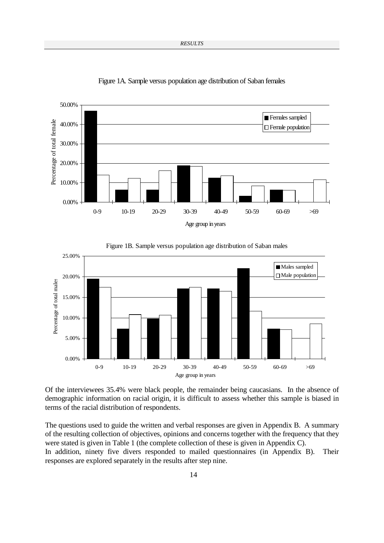

Figure 1A. Sample versus population age distribution of Saban females



Figure 1B. Sample versus population age distribution of Saban males

Of the interviewees 35.4% were black people, the remainder being caucasians. In the absence of demographic information on racial origin, it is difficult to assess whether this sample is biased in terms of the racial distribution of respondents.

The questions used to guide the written and verbal responses are given in Appendix B. A summary of the resulting collection of objectives, opinions and concerns together with the frequency that they were stated is given in Table 1 (the complete collection of these is given in Appendix C). In addition, ninety five divers responded to mailed questionnaires (in Appendix B). Their responses are explored separately in the results after step nine.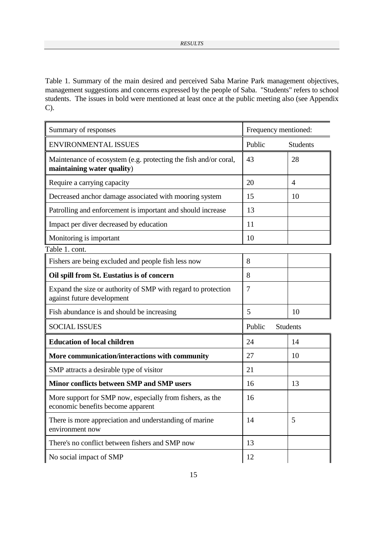Table 1. Summary of the main desired and perceived Saba Marine Park management objectives, management suggestions and concerns expressed by the people of Saba. "Students" refers to school students. The issues in bold were mentioned at least once at the public meeting also (see Appendix C).

| Summary of responses                                                                           | Frequency mentioned: |                 |
|------------------------------------------------------------------------------------------------|----------------------|-----------------|
| <b>ENVIRONMENTAL ISSUES</b>                                                                    | Public               | <b>Students</b> |
| Maintenance of ecosystem (e.g. protecting the fish and/or coral,<br>maintaining water quality) | 43                   | 28              |
| Require a carrying capacity                                                                    | 20                   | $\overline{4}$  |
| Decreased anchor damage associated with mooring system                                         | 15                   | 10              |
| Patrolling and enforcement is important and should increase                                    | 13                   |                 |
| Impact per diver decreased by education                                                        | 11                   |                 |
| Monitoring is important                                                                        | 10                   |                 |
| Table 1. cont.                                                                                 |                      |                 |
| Fishers are being excluded and people fish less now                                            | 8                    |                 |
| Oil spill from St. Eustatius is of concern                                                     | 8                    |                 |
| Expand the size or authority of SMP with regard to protection<br>against future development    | 7                    |                 |
| Fish abundance is and should be increasing                                                     | 5                    | 10              |
| <b>SOCIAL ISSUES</b>                                                                           | Public               | <b>Students</b> |
| <b>Education of local children</b>                                                             | 24                   | 14              |
| More communication/interactions with community                                                 | 27                   | 10              |
| SMP attracts a desirable type of visitor                                                       | 21                   |                 |
| Minor conflicts between SMP and SMP users                                                      | 16                   | 13              |
| More support for SMP now, especially from fishers, as the<br>economic benefits become apparent | 16                   |                 |
| There is more appreciation and understanding of marine<br>environment now                      | 14                   | 5               |
| There's no conflict between fishers and SMP now                                                | 13                   |                 |
| No social impact of SMP                                                                        | 12                   |                 |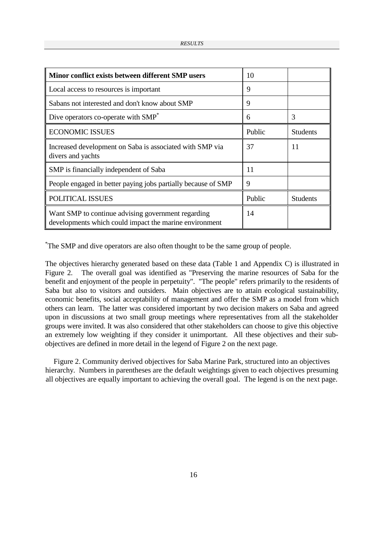| Minor conflict exists between different SMP users                                                            | 10     |                 |
|--------------------------------------------------------------------------------------------------------------|--------|-----------------|
| Local access to resources is important                                                                       | 9      |                 |
| Sabans not interested and don't know about SMP                                                               | 9      |                 |
| Dive operators co-operate with SMP <sup>*</sup>                                                              | 6      | 3               |
| <b>ECONOMIC ISSUES</b>                                                                                       | Public | <b>Students</b> |
| Increased development on Saba is associated with SMP via<br>divers and yachts                                | 37     | 11              |
| SMP is financially independent of Saba                                                                       | 11     |                 |
| People engaged in better paying jobs partially because of SMP                                                | 9      |                 |
| <b>POLITICAL ISSUES</b>                                                                                      | Public | <b>Students</b> |
| Want SMP to continue advising government regarding<br>developments which could impact the marine environment | 14     |                 |

\* The SMP and dive operators are also often thought to be the same group of people.

The objectives hierarchy generated based on these data (Table 1 and Appendix C) is illustrated in Figure 2. The overall goal was identified as "Preserving the marine resources of Saba for the benefit and enjoyment of the people in perpetuity". "The people" refers primarily to the residents of Saba but also to visitors and outsiders. Main objectives are to attain ecological sustainability, economic benefits, social acceptability of management and offer the SMP as a model from which others can learn. The latter was considered important by two decision makers on Saba and agreed upon in discussions at two small group meetings where representatives from all the stakeholder groups were invited. It was also considered that other stakeholders can choose to give this objective an extremely low weighting if they consider it unimportant. All these objectives and their subobjectives are defined in more detail in the legend of Figure 2 on the next page.

Figure 2. Community derived objectives for Saba Marine Park, structured into an objectives hierarchy. Numbers in parentheses are the default weightings given to each objectives presuming all objectives are equally important to achieving the overall goal. The legend is on the next page.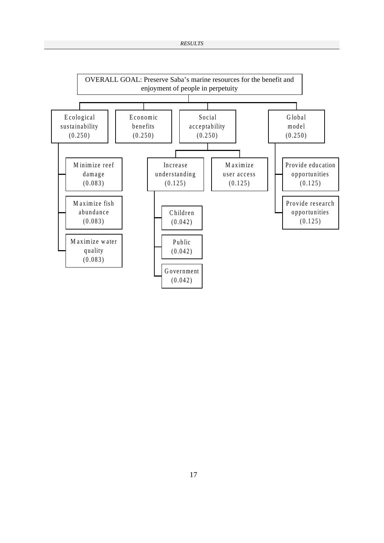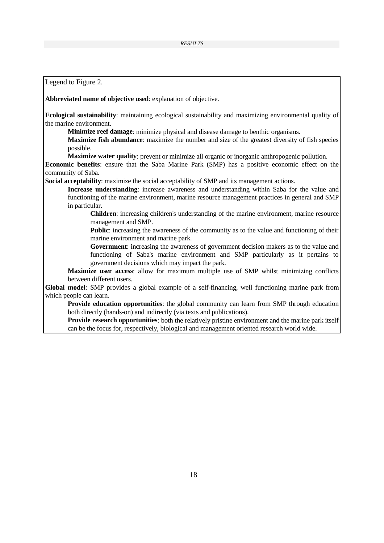# Legend to Figure 2.

**Abbreviated name of objective used**: explanation of objective.

**Ecological sustainability**: maintaining ecological sustainability and maximizing environmental quality of the marine environment.

 **Minimize reef damage**: minimize physical and disease damage to benthic organisms.

 **Maximize fish abundance**: maximize the number and size of the greatest diversity of fish species possible.

 **Maximize water quality**: prevent or minimize all organic or inorganic anthropogenic pollution.

**Economic benefits**: ensure that the Saba Marine Park (SMP) has a positive economic effect on the community of Saba.

**Social acceptability**: maximize the social acceptability of SMP and its management actions.

 **Increase understanding**: increase awareness and understanding within Saba for the value and functioning of the marine environment, marine resource management practices in general and SMP in particular.

 **Children**: increasing children's understanding of the marine environment, marine resource management and SMP.

 **Public**: increasing the awareness of the community as to the value and functioning of their marine environment and marine park.

 **Government**: increasing the awareness of government decision makers as to the value and functioning of Saba's marine environment and SMP particularly as it pertains to government decisions which may impact the park.

 **Maximize user access**: allow for maximum multiple use of SMP whilst minimizing conflicts between different users.

**Global model**: SMP provides a global example of a self-financing, well functioning marine park from which people can learn.

 **Provide education opportunities**: the global community can learn from SMP through education both directly (hands-on) and indirectly (via texts and publications).

 **Provide research opportunities**: both the relatively pristine environment and the marine park itself can be the focus for, respectively, biological and management oriented research world wide.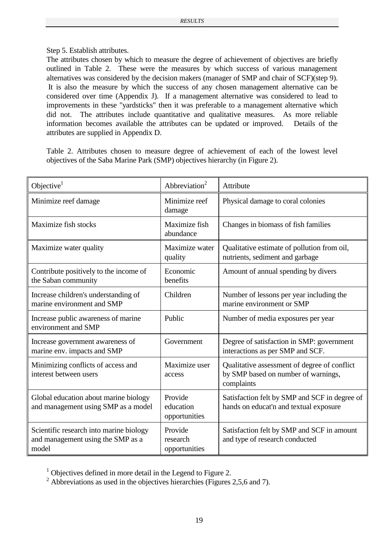# Step 5. Establish attributes.

The attributes chosen by which to measure the degree of achievement of objectives are briefly outlined in Table 2. These were the measures by which success of various management alternatives was considered by the decision makers (manager of SMP and chair of SCF)(step 9). It is also the measure by which the success of any chosen management alternative can be considered over time (Appendix J). If a management alternative was considered to lead to improvements in these "yardsticks" then it was preferable to a management alternative which did not. The attributes include quantitative and qualitative measures. As more reliable information becomes available the attributes can be updated or improved. Details of the attributes are supplied in Appendix D.

Table 2. Attributes chosen to measure degree of achievement of each of the lowest level objectives of the Saba Marine Park (SMP) objectives hierarchy (in Figure 2).

| Objective $1$                                                                         | Abbreviation <sup>2</sup>             | Attribute                                                                                         |
|---------------------------------------------------------------------------------------|---------------------------------------|---------------------------------------------------------------------------------------------------|
| Minimize reef damage                                                                  | Minimize reef<br>damage               | Physical damage to coral colonies                                                                 |
| Maximize fish stocks                                                                  | Maximize fish<br>abundance            | Changes in biomass of fish families                                                               |
| Maximize water quality                                                                | Maximize water<br>quality             | Qualitative estimate of pollution from oil,<br>nutrients, sediment and garbage                    |
| Contribute positively to the income of<br>the Saban community                         | Economic<br>benefits                  | Amount of annual spending by divers                                                               |
| Increase children's understanding of<br>marine environment and SMP                    | Children                              | Number of lessons per year including the<br>marine environment or SMP                             |
| Increase public awareness of marine<br>environment and SMP                            | Public                                | Number of media exposures per year                                                                |
| Increase government awareness of<br>marine env. impacts and SMP                       | Government                            | Degree of satisfaction in SMP: government<br>interactions as per SMP and SCF.                     |
| Minimizing conflicts of access and<br>interest between users                          | Maximize user<br>access               | Qualitative assessment of degree of conflict<br>by SMP based on number of warnings,<br>complaints |
| Global education about marine biology<br>and management using SMP as a model          | Provide<br>education<br>opportunities | Satisfaction felt by SMP and SCF in degree of<br>hands on educat'n and textual exposure           |
| Scientific research into marine biology<br>and management using the SMP as a<br>model | Provide<br>research<br>opportunities  | Satisfaction felt by SMP and SCF in amount<br>and type of research conducted                      |

 $1$  Objectives defined in more detail in the Legend to Figure 2.

 $^2$  Abbreviations as used in the objectives hierarchies (Figures 2,5,6 and 7).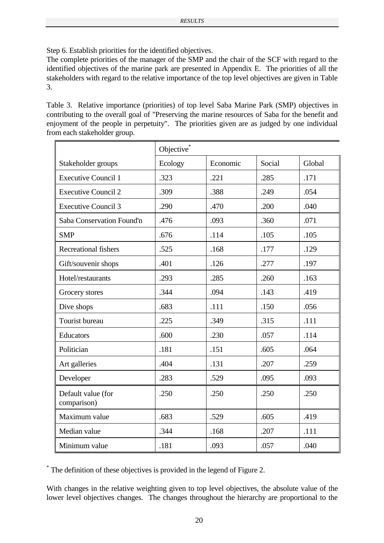Step 6. Establish priorities for the identified objectives.

The complete priorities of the manager of the SMP and the chair of the SCF with regard to the identified objectives of the marine park are presented in Appendix E. The priorities of all the stakeholders with regard to the relative importance of the top level objectives are given in Table 3.

Table 3. Relative importance (priorities) of top level Saba Marine Park (SMP) objectives in contributing to the overall goal of "Preserving the marine resources of Saba for the benefit and enjoyment of the people in perpetuity". The priorities given are as judged by one individual from each stakeholder group.

|                                   | Objective $*$ |          |        |        |
|-----------------------------------|---------------|----------|--------|--------|
| Stakeholder groups                | Ecology       | Economic | Social | Global |
| <b>Executive Council 1</b>        | .323          | .221     | .285   | .171   |
| <b>Executive Council 2</b>        | .309          | .388     | .249   | .054   |
| <b>Executive Council 3</b>        | .290          | .470     | .200   | .040   |
| Saba Conservation Found'n         | .476          | .093     | .360   | .071   |
| <b>SMP</b>                        | .676          | .114     | .105   | .105   |
| <b>Recreational fishers</b>       | .525          | .168     | .177   | .129   |
| Gift/souvenir shops               | .401          | .126     | .277   | .197   |
| Hotel/restaurants                 | .293          | .285     | .260   | .163   |
| Grocery stores                    | .344          | .094     | .143   | .419   |
| Dive shops                        | .683          | .111     | .150   | .056   |
| Tourist bureau                    | .225          | .349     | .315   | .111   |
| Educators                         | .600          | .230     | .057   | .114   |
| Politician                        | .181          | .151     | .605   | .064   |
| Art galleries                     | .404          | .131     | .207   | .259   |
| Developer                         | .283          | .529     | .095   | .093   |
| Default value (for<br>comparison) | .250          | .250     | .250   | .250   |
| Maximum value                     | .683          | .529     | .605   | .419   |
| Median value                      | .344          | .168     | .207   | .111   |
| Minimum value                     | .181          | .093     | .057   | .040   |

\* The definition of these objectives is provided in the legend of Figure 2.

With changes in the relative weighting given to top level objectives, the absolute value of the lower level objectives changes. The changes throughout the hierarchy are proportional to the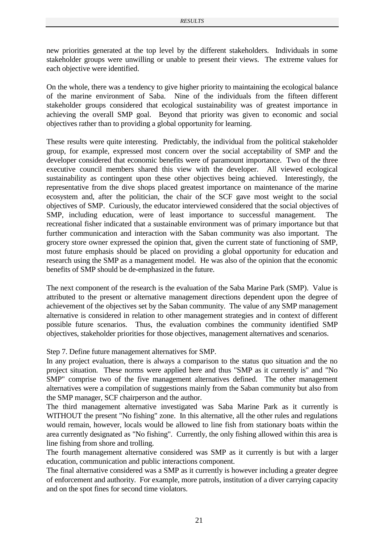new priorities generated at the top level by the different stakeholders. Individuals in some stakeholder groups were unwilling or unable to present their views. The extreme values for each objective were identified.

On the whole, there was a tendency to give higher priority to maintaining the ecological balance of the marine environment of Saba. Nine of the individuals from the fifteen different stakeholder groups considered that ecological sustainability was of greatest importance in achieving the overall SMP goal. Beyond that priority was given to economic and social objectives rather than to providing a global opportunity for learning.

These results were quite interesting. Predictably, the individual from the political stakeholder group, for example, expressed most concern over the social acceptability of SMP and the developer considered that economic benefits were of paramount importance. Two of the three executive council members shared this view with the developer. All viewed ecological sustainability as contingent upon these other objectives being achieved. Interestingly, the representative from the dive shops placed greatest importance on maintenance of the marine ecosystem and, after the politician, the chair of the SCF gave most weight to the social objectives of SMP. Curiously, the educator interviewed considered that the social objectives of SMP, including education, were of least importance to successful management. The recreational fisher indicated that a sustainable environment was of primary importance but that further communication and interaction with the Saban community was also important. The grocery store owner expressed the opinion that, given the current state of functioning of SMP, most future emphasis should be placed on providing a global opportunity for education and research using the SMP as a management model. He was also of the opinion that the economic benefits of SMP should be de-emphasized in the future.

The next component of the research is the evaluation of the Saba Marine Park (SMP). Value is attributed to the present or alternative management directions dependent upon the degree of achievement of the objectives set by the Saban community. The value of any SMP management alternative is considered in relation to other management strategies and in context of different possible future scenarios. Thus, the evaluation combines the community identified SMP objectives, stakeholder priorities for those objectives, management alternatives and scenarios.

# Step 7. Define future management alternatives for SMP.

In any project evaluation, there is always a comparison to the status quo situation and the no project situation. These norms were applied here and thus "SMP as it currently is" and "No SMP" comprise two of the five management alternatives defined. The other management alternatives were a compilation of suggestions mainly from the Saban community but also from the SMP manager, SCF chairperson and the author.

The third management alternative investigated was Saba Marine Park as it currently is WITHOUT the present "No fishing" zone. In this alternative, all the other rules and regulations would remain, however, locals would be allowed to line fish from stationary boats within the area currently designated as "No fishing". Currently, the only fishing allowed within this area is line fishing from shore and trolling.

The fourth management alternative considered was SMP as it currently is but with a larger education, communication and public interactions component.

The final alternative considered was a SMP as it currently is however including a greater degree of enforcement and authority. For example, more patrols, institution of a diver carrying capacity and on the spot fines for second time violators.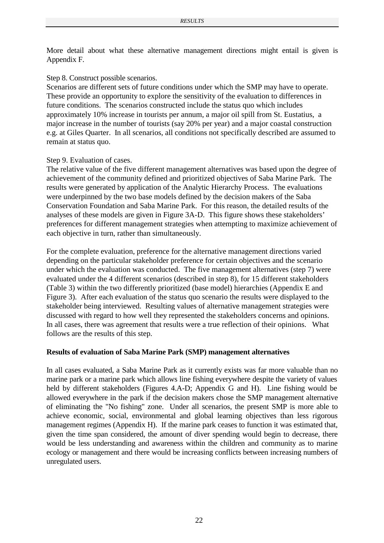More detail about what these alternative management directions might entail is given is Appendix F.

# Step 8. Construct possible scenarios.

Scenarios are different sets of future conditions under which the SMP may have to operate. These provide an opportunity to explore the sensitivity of the evaluation to differences in future conditions. The scenarios constructed include the status quo which includes approximately 10% increase in tourists per annum, a major oil spill from St. Eustatius, a major increase in the number of tourists (say 20% per year) and a major coastal construction e.g. at Giles Quarter. In all scenarios, all conditions not specifically described are assumed to remain at status quo.

# Step 9. Evaluation of cases.

The relative value of the five different management alternatives was based upon the degree of achievement of the community defined and prioritized objectives of Saba Marine Park. The results were generated by application of the Analytic Hierarchy Process. The evaluations were underpinned by the two base models defined by the decision makers of the Saba Conservation Foundation and Saba Marine Park. For this reason, the detailed results of the analyses of these models are given in Figure 3A-D. This figure shows these stakeholders' preferences for different management strategies when attempting to maximize achievement of each objective in turn, rather than simultaneously.

For the complete evaluation, preference for the alternative management directions varied depending on the particular stakeholder preference for certain objectives and the scenario under which the evaluation was conducted. The five management alternatives (step 7) were evaluated under the 4 different scenarios (described in step 8), for 15 different stakeholders (Table 3) within the two differently prioritized (base model) hierarchies (Appendix E and Figure 3). After each evaluation of the status quo scenario the results were displayed to the stakeholder being interviewed. Resulting values of alternative management strategies were discussed with regard to how well they represented the stakeholders concerns and opinions. In all cases, there was agreement that results were a true reflection of their opinions. What follows are the results of this step.

# **Results of evaluation of Saba Marine Park (SMP) management alternatives**

In all cases evaluated, a Saba Marine Park as it currently exists was far more valuable than no marine park or a marine park which allows line fishing everywhere despite the variety of values held by different stakeholders (Figures 4.A-D; Appendix G and H). Line fishing would be allowed everywhere in the park if the decision makers chose the SMP management alternative of eliminating the "No fishing" zone. Under all scenarios, the present SMP is more able to achieve economic, social, environmental and global learning objectives than less rigorous management regimes (Appendix H). If the marine park ceases to function it was estimated that, given the time span considered, the amount of diver spending would begin to decrease, there would be less understanding and awareness within the children and community as to marine ecology or management and there would be increasing conflicts between increasing numbers of unregulated users.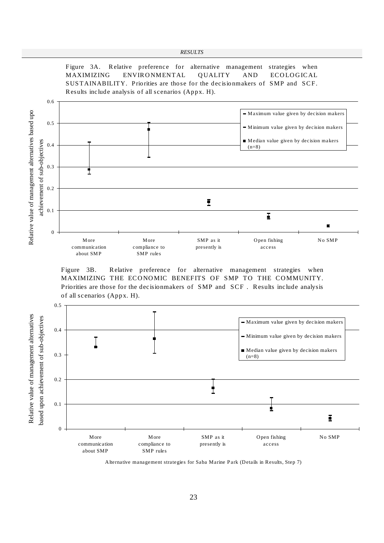Figure 3A. Relative preference for alternative management strategies when MAXIMIZING ENVIRONMENTAL QUALITY AND ECOLOGICAL SUSTAINABILITY. Priorities are those for the decisionmakers of SMP and SCF. R esults include analysis of all scenarios (Appx. H).



Figure 3B. Relative preference for alternative management strategies when MAXIMIZING THE ECONOMIC BENEFITS OF SMP TO THE COMMUNITY. Priorities are those for the decisionmakers of SMP and SCF. Results include analysis of all scenarios (Appx. H).



Alternative management strategies for Saba Marine Park (Details in Results, Step 7)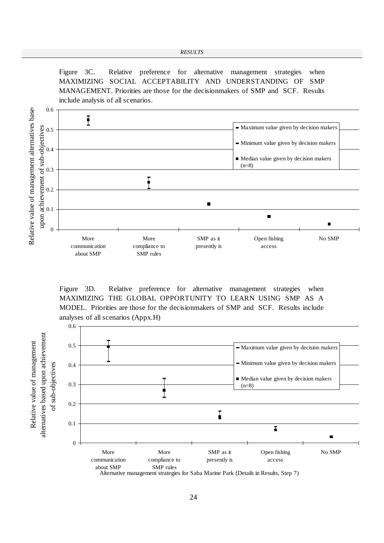Figure 3C. Relative preference for alternative management strategies when MAXIMIZING SOCIAL ACCEPTABILITY AND UNDERSTANDING OF SMP MANAGEMENT. Priorities are those for the decisionmakers of SMP and SCF. Results include analysis of all scenarios.



Figure 3D. Relative preference for alternative management strategies when MAXIMIZING THE GLOBAL OPPORTUNITY TO LEARN USING SMP AS A MODEL. Priorities are those for the decisionmakers of SMP and SCF. Results include analyses of all scenarios (Appx.H)

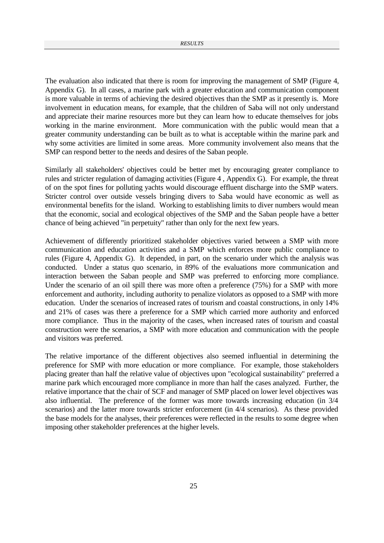The evaluation also indicated that there is room for improving the management of SMP (Figure 4, Appendix G). In all cases, a marine park with a greater education and communication component is more valuable in terms of achieving the desired objectives than the SMP as it presently is. More involvement in education means, for example, that the children of Saba will not only understand and appreciate their marine resources more but they can learn how to educate themselves for jobs working in the marine environment. More communication with the public would mean that a greater community understanding can be built as to what is acceptable within the marine park and why some activities are limited in some areas. More community involvement also means that the SMP can respond better to the needs and desires of the Saban people.

Similarly all stakeholders' objectives could be better met by encouraging greater compliance to rules and stricter regulation of damaging activities (Figure 4 , Appendix G). For example, the threat of on the spot fines for polluting yachts would discourage effluent discharge into the SMP waters. Stricter control over outside vessels bringing divers to Saba would have economic as well as environmental benefits for the island. Working to establishing limits to diver numbers would mean that the economic, social and ecological objectives of the SMP and the Saban people have a better chance of being achieved "in perpetuity" rather than only for the next few years.

Achievement of differently prioritized stakeholder objectives varied between a SMP with more communication and education activities and a SMP which enforces more public compliance to rules (Figure 4, Appendix G). It depended, in part, on the scenario under which the analysis was conducted. Under a status quo scenario, in 89% of the evaluations more communication and interaction between the Saban people and SMP was preferred to enforcing more compliance. Under the scenario of an oil spill there was more often a preference (75%) for a SMP with more enforcement and authority, including authority to penalize violators as opposed to a SMP with more education. Under the scenarios of increased rates of tourism and coastal constructions, in only 14% and 21% of cases was there a preference for a SMP which carried more authority and enforced more compliance. Thus in the majority of the cases, when increased rates of tourism and coastal construction were the scenarios, a SMP with more education and communication with the people and visitors was preferred.

The relative importance of the different objectives also seemed influential in determining the preference for SMP with more education or more compliance. For example, those stakeholders placing greater than half the relative value of objectives upon "ecological sustainability" preferred a marine park which encouraged more compliance in more than half the cases analyzed. Further, the relative importance that the chair of SCF and manager of SMP placed on lower level objectives was also influential. The preference of the former was more towards increasing education (in 3/4 scenarios) and the latter more towards stricter enforcement (in 4/4 scenarios). As these provided the base models for the analyses, their preferences were reflected in the results to some degree when imposing other stakeholder preferences at the higher levels.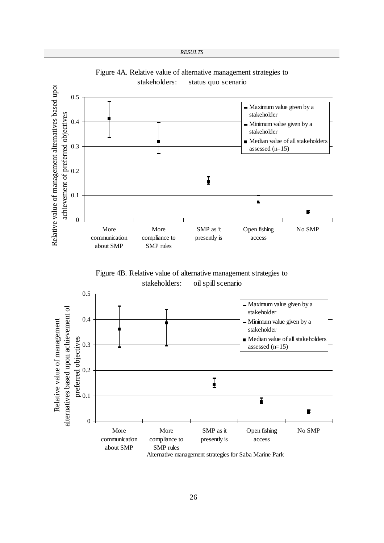#### *RESULTS*







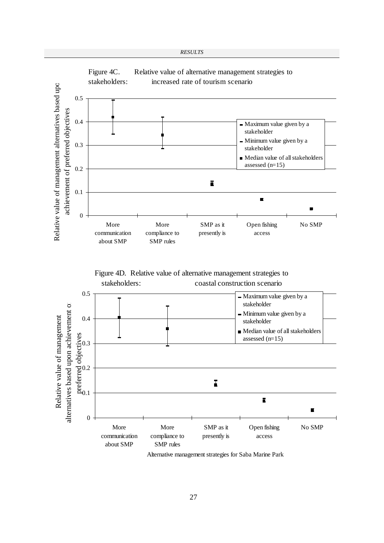

Figure 4D. Relative value of alternative management strategies to stakeholders: coastal construction scenario



Alternative management strategies for Saba Marine Park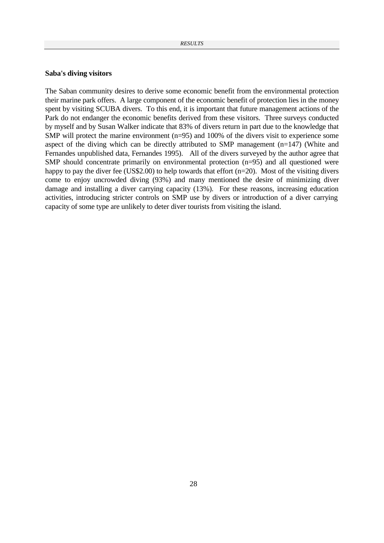### **Saba's diving visitors**

The Saban community desires to derive some economic benefit from the environmental protection their marine park offers. A large component of the economic benefit of protection lies in the money spent by visiting SCUBA divers. To this end, it is important that future management actions of the Park do not endanger the economic benefits derived from these visitors. Three surveys conducted by myself and by Susan Walker indicate that 83% of divers return in part due to the knowledge that SMP will protect the marine environment (n=95) and 100% of the divers visit to experience some aspect of the diving which can be directly attributed to SMP management (n=147) (White and Fernandes unpublished data, Fernandes 1995). All of the divers surveyed by the author agree that SMP should concentrate primarily on environmental protection (n=95) and all questioned were happy to pay the diver fee (US\$2.00) to help towards that effort (n=20). Most of the visiting divers come to enjoy uncrowded diving (93%) and many mentioned the desire of minimizing diver damage and installing a diver carrying capacity (13%). For these reasons, increasing education activities, introducing stricter controls on SMP use by divers or introduction of a diver carrying capacity of some type are unlikely to deter diver tourists from visiting the island.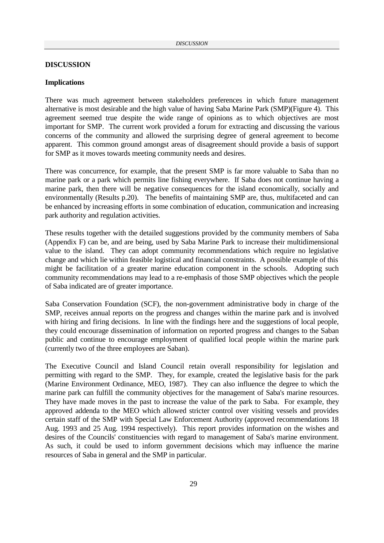#### **DISCUSSION**

#### **Implications**

There was much agreement between stakeholders preferences in which future management alternative is most desirable and the high value of having Saba Marine Park (SMP)(Figure 4). This agreement seemed true despite the wide range of opinions as to which objectives are most important for SMP. The current work provided a forum for extracting and discussing the various concerns of the community and allowed the surprising degree of general agreement to become apparent. This common ground amongst areas of disagreement should provide a basis of support for SMP as it moves towards meeting community needs and desires.

There was concurrence, for example, that the present SMP is far more valuable to Saba than no marine park or a park which permits line fishing everywhere. If Saba does not continue having a marine park, then there will be negative consequences for the island economically, socially and environmentally (Results p.20). The benefits of maintaining SMP are, thus, multifaceted and can be enhanced by increasing efforts in some combination of education, communication and increasing park authority and regulation activities.

These results together with the detailed suggestions provided by the community members of Saba (Appendix F) can be, and are being, used by Saba Marine Park to increase their multidimensional value to the island. They can adopt community recommendations which require no legislative change and which lie within feasible logistical and financial constraints. A possible example of this might be facilitation of a greater marine education component in the schools. Adopting such community recommendations may lead to a re-emphasis of those SMP objectives which the people of Saba indicated are of greater importance.

Saba Conservation Foundation (SCF), the non-government administrative body in charge of the SMP, receives annual reports on the progress and changes within the marine park and is involved with hiring and firing decisions. In line with the findings here and the suggestions of local people, they could encourage dissemination of information on reported progress and changes to the Saban public and continue to encourage employment of qualified local people within the marine park (currently two of the three employees are Saban).

The Executive Council and Island Council retain overall responsibility for legislation and permitting with regard to the SMP. They, for example, created the legislative basis for the park (Marine Environment Ordinance, MEO, 1987). They can also influence the degree to which the marine park can fulfill the community objectives for the management of Saba's marine resources. They have made moves in the past to increase the value of the park to Saba. For example, they approved addenda to the MEO which allowed stricter control over visiting vessels and provides certain staff of the SMP with Special Law Enforcement Authority (approved recommendations 18 Aug. 1993 and 25 Aug. 1994 respectively). This report provides information on the wishes and desires of the Councils' constituencies with regard to management of Saba's marine environment. As such, it could be used to inform government decisions which may influence the marine resources of Saba in general and the SMP in particular.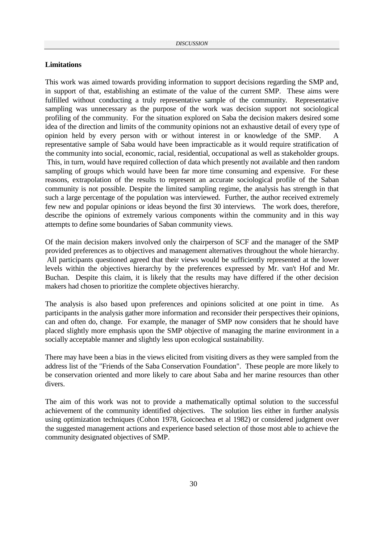## **Limitations**

This work was aimed towards providing information to support decisions regarding the SMP and, in support of that, establishing an estimate of the value of the current SMP. These aims were fulfilled without conducting a truly representative sample of the community. Representative sampling was unnecessary as the purpose of the work was decision support not sociological profiling of the community. For the situation explored on Saba the decision makers desired some idea of the direction and limits of the community opinions not an exhaustive detail of every type of opinion held by every person with or without interest in or knowledge of the SMP. A representative sample of Saba would have been impracticable as it would require stratification of the community into social, economic, racial, residential, occupational as well as stakeholder groups. This, in turn, would have required collection of data which presently not available and then random sampling of groups which would have been far more time consuming and expensive. For these reasons, extrapolation of the results to represent an accurate sociological profile of the Saban community is not possible. Despite the limited sampling regime, the analysis has strength in that such a large percentage of the population was interviewed. Further, the author received extremely few new and popular opinions or ideas beyond the first 30 interviews. The work does, therefore, describe the opinions of extremely various components within the community and in this way attempts to define some boundaries of Saban community views.

Of the main decision makers involved only the chairperson of SCF and the manager of the SMP provided preferences as to objectives and management alternatives throughout the whole hierarchy. All participants questioned agreed that their views would be sufficiently represented at the lower levels within the objectives hierarchy by the preferences expressed by Mr. van't Hof and Mr. Buchan. Despite this claim, it is likely that the results may have differed if the other decision makers had chosen to prioritize the complete objectives hierarchy.

The analysis is also based upon preferences and opinions solicited at one point in time. As participants in the analysis gather more information and reconsider their perspectives their opinions, can and often do, change. For example, the manager of SMP now considers that he should have placed slightly more emphasis upon the SMP objective of managing the marine environment in a socially acceptable manner and slightly less upon ecological sustainability.

There may have been a bias in the views elicited from visiting divers as they were sampled from the address list of the "Friends of the Saba Conservation Foundation". These people are more likely to be conservation oriented and more likely to care about Saba and her marine resources than other divers.

The aim of this work was not to provide a mathematically optimal solution to the successful achievement of the community identified objectives. The solution lies either in further analysis using optimization techniques (Cohon 1978, Goicoechea et al 1982) or considered judgment over the suggested management actions and experience based selection of those most able to achieve the community designated objectives of SMP.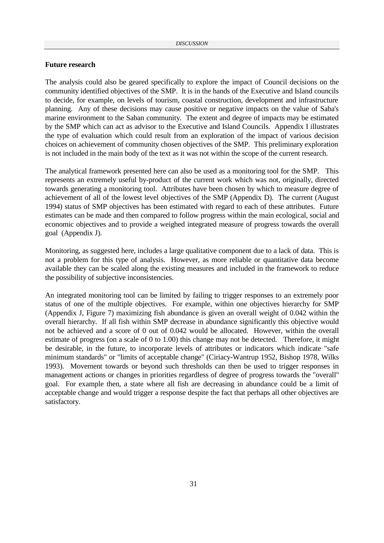#### **Future research**

The analysis could also be geared specifically to explore the impact of Council decisions on the community identified objectives of the SMP. It is in the hands of the Executive and Island councils to decide, for example, on levels of tourism, coastal construction, development and infrastructure planning. Any of these decisions may cause positive or negative impacts on the value of Saba's marine environment to the Saban community. The extent and degree of impacts may be estimated by the SMP which can act as advisor to the Executive and Island Councils. Appendix I illustrates the type of evaluation which could result from an exploration of the impact of various decision choices on achievement of community chosen objectives of the SMP. This preliminary exploration is not included in the main body of the text as it was not within the scope of the current research.

The analytical framework presented here can also be used as a monitoring tool for the SMP. This represents an extremely useful by-product of the current work which was not, originally, directed towards generating a monitoring tool. Attributes have been chosen by which to measure degree of achievement of all of the lowest level objectives of the SMP (Appendix D). The current (August 1994) status of SMP objectives has been estimated with regard to each of these attributes. Future estimates can be made and then compared to follow progress within the main ecological, social and economic objectives and to provide a weighed integrated measure of progress towards the overall goal (Appendix J).

Monitoring, as suggested here, includes a large qualitative component due to a lack of data. This is not a problem for this type of analysis. However, as more reliable or quantitative data become available they can be scaled along the existing measures and included in the framework to reduce the possibility of subjective inconsistencies.

An integrated monitoring tool can be limited by failing to trigger responses to an extremely poor status of one of the multiple objectives. For example, within one objectives hierarchy for SMP (Appendix J, Figure 7) maximizing fish abundance is given an overall weight of 0.042 within the overall hierarchy. If all fish within SMP decrease in abundance significantly this objective would not be achieved and a score of 0 out of 0.042 would be allocated. However, within the overall estimate of progress (on a scale of 0 to 1.00) this change may not be detected. Therefore, it might be desirable, in the future, to incorporate levels of attributes or indicators which indicate "safe minimum standards" or "limits of acceptable change" (Ciriacy-Wantrup 1952, Bishop 1978, Wilks 1993). Movement towards or beyond such thresholds can then be used to trigger responses in management actions or changes in priorities regardless of degree of progress towards the "overall" goal. For example then, a state where all fish are decreasing in abundance could be a limit of acceptable change and would trigger a response despite the fact that perhaps all other objectives are satisfactory.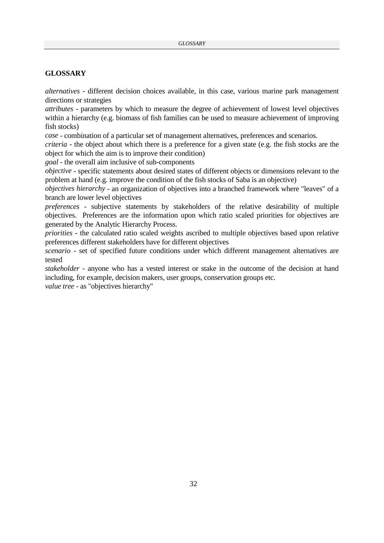# **GLOSSARY**

*alternatives* - different decision choices available, in this case, various marine park management directions or strategies

*attributes* - parameters by which to measure the degree of achievement of lowest level objectives within a hierarchy (e.g. biomass of fish families can be used to measure achievement of improving fish stocks)

*case* - combination of a particular set of management alternatives, preferences and scenarios.

*criteria* - the object about which there is a preference for a given state (e.g. the fish stocks are the object for which the aim is to improve their condition)

*goal* - the overall aim inclusive of sub-components

*objective* - specific statements about desired states of different objects or dimensions relevant to the problem at hand (e.g. improve the condition of the fish stocks of Saba is an objective)

*objectives hierarchy* - an organization of objectives into a branched framework where "leaves" of a branch are lower level objectives

*preferences* - subjective statements by stakeholders of the relative desirability of multiple objectives. Preferences are the information upon which ratio scaled priorities for objectives are generated by the Analytic Hierarchy Process.

*priorities* - the calculated ratio scaled weights ascribed to multiple objectives based upon relative preferences different stakeholders have for different objectives

*scenario* - set of specified future conditions under which different management alternatives are tested

*stakeholder* - anyone who has a vested interest or stake in the outcome of the decision at hand including, for example, decision makers, user groups, conservation groups etc. *value tree* - as "objectives hierarchy"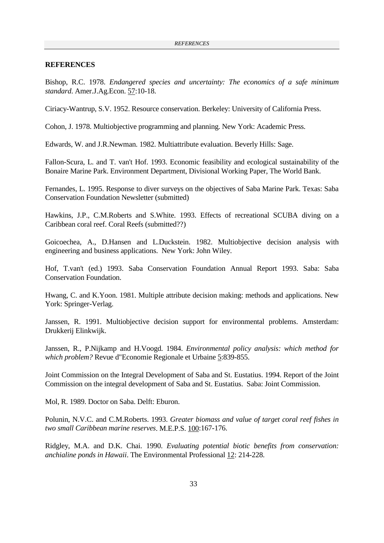## **REFERENCES**

Bishop, R.C. 1978. *Endangered species and uncertainty: The economics of a safe minimum standard*. Amer.J.Ag.Econ. 57:10-18.

Ciriacy-Wantrup, S.V. 1952. Resource conservation. Berkeley: University of California Press.

Cohon, J. 1978. Multiobjective programming and planning. New York: Academic Press.

Edwards, W. and J.R.Newman. 1982. Multiattribute evaluation. Beverly Hills: Sage.

Fallon-Scura, L. and T. van't Hof. 1993. Economic feasibility and ecological sustainability of the Bonaire Marine Park. Environment Department, Divisional Working Paper, The World Bank.

Fernandes, L. 1995. Response to diver surveys on the objectives of Saba Marine Park. Texas: Saba Conservation Foundation Newsletter (submitted)

Hawkins, J.P., C.M.Roberts and S.White. 1993. Effects of recreational SCUBA diving on a Caribbean coral reef. Coral Reefs (submitted??)

Goicoechea, A., D.Hansen and L.Duckstein. 1982. Multiobjective decision analysis with engineering and business applications. New York: John Wiley.

Hof, T.van't (ed.) 1993. Saba Conservation Foundation Annual Report 1993. Saba: Saba Conservation Foundation.

Hwang, C. and K.Yoon. 1981. Multiple attribute decision making: methods and applications. New York: Springer-Verlag.

Janssen, R. 1991. Multiobjective decision support for environmental problems. Amsterdam: Drukkerij Elinkwijk.

Janssen, R., P.Nijkamp and H.Voogd. 1984. *Environmental policy analysis: which method for which problem?* Revue d"Economie Regionale et Urbaine 5:839-855.

Joint Commission on the Integral Development of Saba and St. Eustatius. 1994. Report of the Joint Commission on the integral development of Saba and St. Eustatius. Saba: Joint Commission.

Mol, R. 1989. Doctor on Saba. Delft: Eburon.

Polunin, N.V.C. and C.M.Roberts. 1993. *Greater biomass and value of target coral reef fishes in two small Caribbean marine reserves*. M.E.P.S. 100:167-176.

Ridgley, M.A. and D.K. Chai. 1990. *Evaluating potential biotic benefits from conservation: anchialine ponds in Hawaii*. The Environmental Professional 12: 214-228.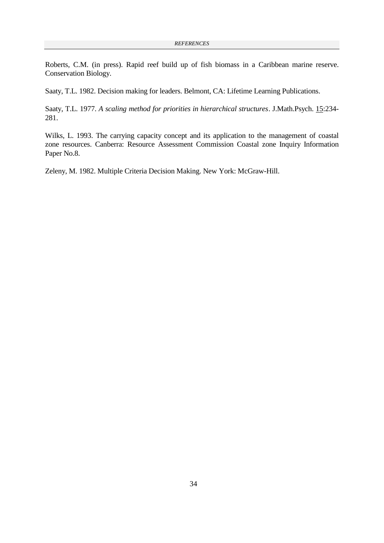Roberts, C.M. (in press). Rapid reef build up of fish biomass in a Caribbean marine reserve. Conservation Biology.

Saaty, T.L. 1982. Decision making for leaders. Belmont, CA: Lifetime Learning Publications.

Saaty, T.L. 1977. *A scaling method for priorities in hierarchical structures*. J.Math.Psych. 15:234- 281.

Wilks, L. 1993. The carrying capacity concept and its application to the management of coastal zone resources. Canberra: Resource Assessment Commission Coastal zone Inquiry Information Paper No.8.

Zeleny, M. 1982. Multiple Criteria Decision Making. New York: McGraw-Hill.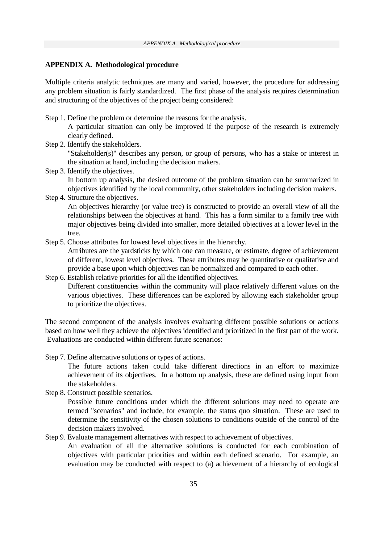#### **APPENDIX A. Methodological procedure**

Multiple criteria analytic techniques are many and varied, however, the procedure for addressing any problem situation is fairly standardized. The first phase of the analysis requires determination and structuring of the objectives of the project being considered:

Step 1. Define the problem or determine the reasons for the analysis.

 A particular situation can only be improved if the purpose of the research is extremely clearly defined.

Step 2. Identify the stakeholders.

 "Stakeholder(s)" describes any person, or group of persons, who has a stake or interest in the situation at hand, including the decision makers.

- Step 3. Identify the objectives. In bottom up analysis, the desired outcome of the problem situation can be summarized in objectives identified by the local community, other stakeholders including decision makers.
- Step 4. Structure the objectives.

 An objectives hierarchy (or value tree) is constructed to provide an overall view of all the relationships between the objectives at hand. This has a form similar to a family tree with major objectives being divided into smaller, more detailed objectives at a lower level in the tree.

Step 5. Choose attributes for lowest level objectives in the hierarchy.

 Attributes are the yardsticks by which one can measure, or estimate, degree of achievement of different, lowest level objectives. These attributes may be quantitative or qualitative and provide a base upon which objectives can be normalized and compared to each other.

Step 6. Establish relative priorities for all the identified objectives. Different constituencies within the community will place relatively different values on the various objectives. These differences can be explored by allowing each stakeholder group to prioritize the objectives.

The second component of the analysis involves evaluating different possible solutions or actions based on how well they achieve the objectives identified and prioritized in the first part of the work. Evaluations are conducted within different future scenarios:

Step 7. Define alternative solutions or types of actions.

 The future actions taken could take different directions in an effort to maximize achievement of its objectives. In a bottom up analysis, these are defined using input from the stakeholders.

Step 8. Construct possible scenarios.

 Possible future conditions under which the different solutions may need to operate are termed "scenarios" and include, for example, the status quo situation. These are used to determine the sensitivity of the chosen solutions to conditions outside of the control of the decision makers involved.

Step 9. Evaluate management alternatives with respect to achievement of objectives.

 An evaluation of all the alternative solutions is conducted for each combination of objectives with particular priorities and within each defined scenario. For example, an evaluation may be conducted with respect to (a) achievement of a hierarchy of ecological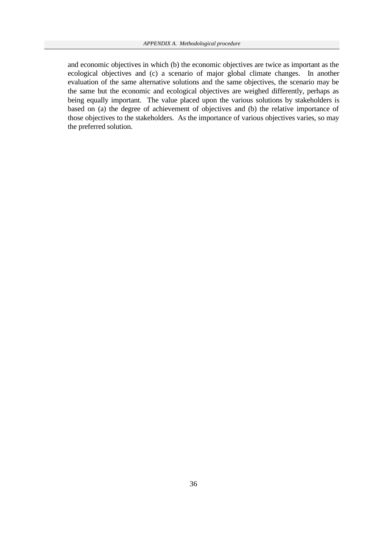and economic objectives in which (b) the economic objectives are twice as important as the ecological objectives and (c) a scenario of major global climate changes. In another evaluation of the same alternative solutions and the same objectives, the scenario may be the same but the economic and ecological objectives are weighed differently, perhaps as being equally important. The value placed upon the various solutions by stakeholders is based on (a) the degree of achievement of objectives and (b) the relative importance of those objectives to the stakeholders. As the importance of various objectives varies, so may the preferred solution.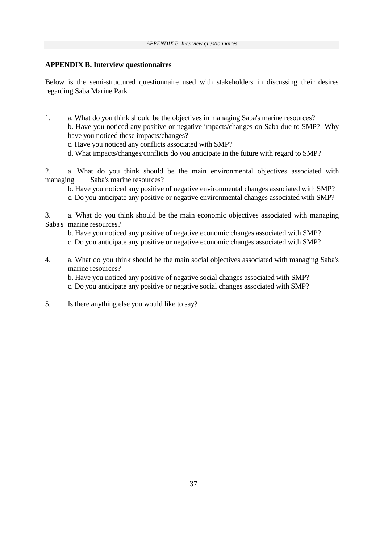## **APPENDIX B. Interview questionnaires**

Below is the semi-structured questionnaire used with stakeholders in discussing their desires regarding Saba Marine Park

1. a. What do you think should be the objectives in managing Saba's marine resources? b. Have you noticed any positive or negative impacts/changes on Saba due to SMP? Why have you noticed these impacts/changes? c. Have you noticed any conflicts associated with SMP? d. What impacts/changes/conflicts do you anticipate in the future with regard to SMP?

2. a. What do you think should be the main environmental objectives associated with managing Saba's marine resources?

 b. Have you noticed any positive of negative environmental changes associated with SMP? c. Do you anticipate any positive or negative environmental changes associated with SMP?

3. a. What do you think should be the main economic objectives associated with managing Saba's marine resources?

 b. Have you noticed any positive of negative economic changes associated with SMP? c. Do you anticipate any positive or negative economic changes associated with SMP?

- 4. a. What do you think should be the main social objectives associated with managing Saba's marine resources? b. Have you noticed any positive of negative social changes associated with SMP?
	- c. Do you anticipate any positive or negative social changes associated with SMP?
- 5. Is there anything else you would like to say?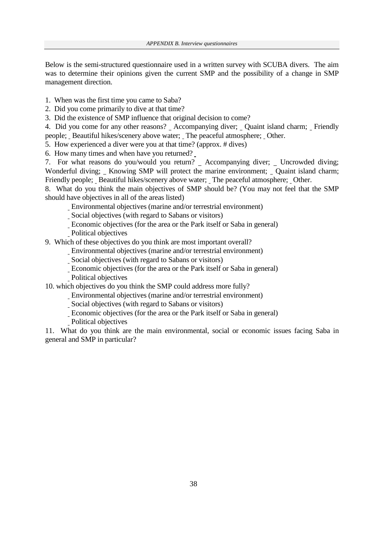Below is the semi-structured questionnaire used in a written survey with SCUBA divers. The aim was to determine their opinions given the current SMP and the possibility of a change in SMP management direction.

1. When was the first time you came to Saba?

2. Did you come primarily to dive at that time?

3. Did the existence of SMP influence that original decision to come?

4. Did you come for any other reasons? \_ Accompanying diver; \_ Quaint island charm; \_ Friendly people; Beautiful hikes/scenery above water; The peaceful atmosphere; Other.

5. How experienced a diver were you at that time? (approx. # dives)

6. How many times and when have you returned?

7. For what reasons do you/would you return? \_ Accompanying diver; \_ Uncrowded diving; Wonderful diving; Knowing SMP will protect the marine environment; Quaint island charm; Friendly people; Beautiful hikes/scenery above water; The peaceful atmosphere; Other.

8. What do you think the main objectives of SMP should be? (You may not feel that the SMP should have objectives in all of the areas listed)

Environmental objectives (marine and/or terrestrial environment)

Social objectives (with regard to Sabans or visitors)

Economic objectives (for the area or the Park itself or Saba in general)

Political objectives

9. Which of these objectives do you think are most important overall?

Environmental objectives (marine and/or terrestrial environment)

Social objectives (with regard to Sabans or visitors)

Economic objectives (for the area or the Park itself or Saba in general)

Political objectives

10. which objectives do you think the SMP could address more fully?

Environmental objectives (marine and/or terrestrial environment)

Social objectives (with regard to Sabans or visitors)

Economic objectives (for the area or the Park itself or Saba in general)

Political objectives

11. What do you think are the main environmental, social or economic issues facing Saba in general and SMP in particular?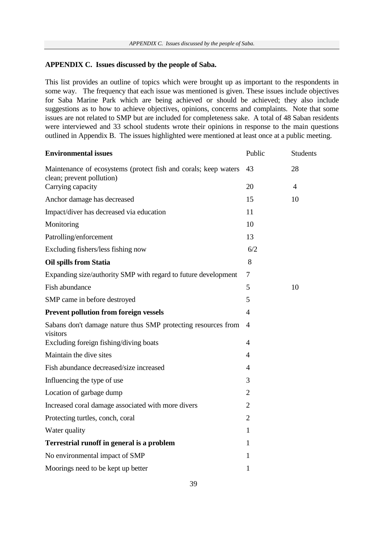## **APPENDIX C. Issues discussed by the people of Saba.**

This list provides an outline of topics which were brought up as important to the respondents in some way. The frequency that each issue was mentioned is given. These issues include objectives for Saba Marine Park which are being achieved or should be achieved; they also include suggestions as to how to achieve objectives, opinions, concerns and complaints. Note that some issues are not related to SMP but are included for completeness sake. A total of 48 Saban residents were interviewed and 33 school students wrote their opinions in response to the main questions outlined in Appendix B. The issues highlighted were mentioned at least once at a public meeting.

| <b>Environmental issues</b>                                                                  | Public         | <b>Students</b> |
|----------------------------------------------------------------------------------------------|----------------|-----------------|
| Maintenance of ecosystems (protect fish and corals; keep waters<br>clean; prevent pollution) | 43             | 28              |
| Carrying capacity                                                                            | 20             | $\overline{4}$  |
| Anchor damage has decreased                                                                  | 15             | 10              |
| Impact/diver has decreased via education                                                     | 11             |                 |
| Monitoring                                                                                   | 10             |                 |
| Patrolling/enforcement                                                                       | 13             |                 |
| Excluding fishers/less fishing now                                                           | 6/2            |                 |
| <b>Oil spills from Statia</b>                                                                | 8              |                 |
| Expanding size/authority SMP with regard to future development                               | $\overline{7}$ |                 |
| Fish abundance                                                                               | 5              | 10              |
| SMP came in before destroyed                                                                 | 5              |                 |
| <b>Prevent pollution from foreign vessels</b>                                                | $\overline{4}$ |                 |
| Sabans don't damage nature thus SMP protecting resources from<br>visitors                    | $\overline{4}$ |                 |
| Excluding foreign fishing/diving boats                                                       | 4              |                 |
| Maintain the dive sites                                                                      | $\overline{4}$ |                 |
| Fish abundance decreased/size increased                                                      | $\overline{4}$ |                 |
| Influencing the type of use                                                                  | 3              |                 |
| Location of garbage dump                                                                     | $\overline{2}$ |                 |
| Increased coral damage associated with more divers                                           | 2              |                 |
| Protecting turtles, conch, coral                                                             | $\overline{2}$ |                 |
| Water quality                                                                                | 1              |                 |
| Terrestrial runoff in general is a problem                                                   | 1              |                 |
| No environmental impact of SMP                                                               | 1              |                 |
| Moorings need to be kept up better                                                           | 1              |                 |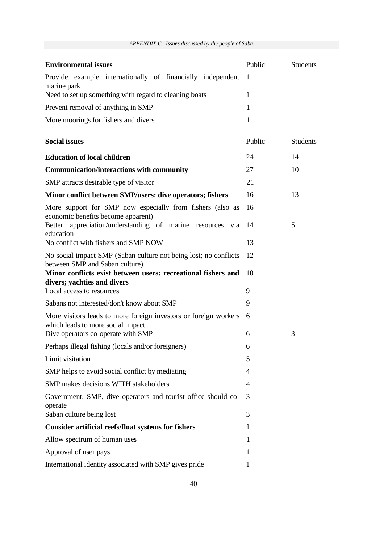| APPENDIX C. Issues discussed by the people of Saba. |  |
|-----------------------------------------------------|--|
|-----------------------------------------------------|--|

| <b>Environmental issues</b>                                                                        | Public | <b>Students</b> |
|----------------------------------------------------------------------------------------------------|--------|-----------------|
| Provide example internationally of financially independent                                         | -1     |                 |
| marine park<br>Need to set up something with regard to cleaning boats                              | 1      |                 |
| Prevent removal of anything in SMP                                                                 | 1      |                 |
| More moorings for fishers and divers                                                               | 1      |                 |
|                                                                                                    |        |                 |
| <b>Social issues</b>                                                                               | Public | <b>Students</b> |
| <b>Education of local children</b>                                                                 | 24     | 14              |
| <b>Communication/interactions with community</b>                                                   | 27     | 10              |
| SMP attracts desirable type of visitor                                                             | 21     |                 |
| Minor conflict between SMP/users: dive operators; fishers                                          | 16     | 13              |
| More support for SMP now especially from fishers (also as<br>economic benefits become apparent)    | 16     |                 |
| Better appreciation/understanding of marine resources via<br>education                             | 14     | 5               |
| No conflict with fishers and SMP NOW                                                               | 13     |                 |
| No social impact SMP (Saban culture not being lost; no conflicts<br>between SMP and Saban culture) | 12     |                 |
| Minor conflicts exist between users: recreational fishers and                                      | 10     |                 |
| divers; yachties and divers<br>Local access to resources                                           | 9      |                 |
| Sabans not interested/don't know about SMP                                                         | 9      |                 |
| More visitors leads to more foreign investors or foreign workers                                   | 6      |                 |
| which leads to more social impact                                                                  |        |                 |
| Dive operators co-operate with SMP                                                                 | 6      | 3               |
| Perhaps illegal fishing (locals and/or foreigners)                                                 | 6      |                 |
| Limit visitation                                                                                   | 5      |                 |
| SMP helps to avoid social conflict by mediating                                                    | 4      |                 |
| SMP makes decisions WITH stakeholders                                                              | 4      |                 |
| Government, SMP, dive operators and tourist office should co-<br>operate                           | 3      |                 |
| Saban culture being lost                                                                           | 3      |                 |
| <b>Consider artificial reefs/float systems for fishers</b>                                         | 1      |                 |
| Allow spectrum of human uses                                                                       | 1      |                 |
| Approval of user pays                                                                              | 1      |                 |
| International identity associated with SMP gives pride                                             |        |                 |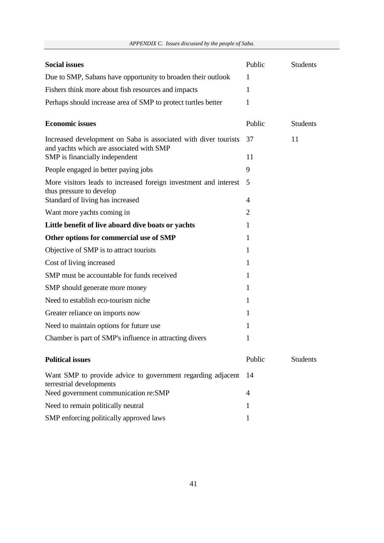|  | APPENDIX C. Issues discussed by the people of Saba. |  |
|--|-----------------------------------------------------|--|
|--|-----------------------------------------------------|--|

| <b>Social issues</b>                                                                                                                          | Public         | <b>Students</b> |
|-----------------------------------------------------------------------------------------------------------------------------------------------|----------------|-----------------|
| Due to SMP, Sabans have opportunity to broaden their outlook                                                                                  | 1              |                 |
| Fishers think more about fish resources and impacts                                                                                           | 1              |                 |
| Perhaps should increase area of SMP to protect turtles better                                                                                 | 1              |                 |
| <b>Economic issues</b>                                                                                                                        | Public         | <b>Students</b> |
| Increased development on Saba is associated with diver tourists<br>and yachts which are associated with SMP<br>SMP is financially independent | 37<br>11       | 11              |
| People engaged in better paying jobs                                                                                                          | 9              |                 |
| More visitors leads to increased foreign investment and interest<br>thus pressure to develop                                                  | 5              |                 |
| Standard of living has increased                                                                                                              | $\overline{4}$ |                 |
| Want more yachts coming in                                                                                                                    | $\overline{2}$ |                 |
| Little benefit of live aboard dive boats or yachts                                                                                            | 1              |                 |
| Other options for commercial use of SMP                                                                                                       | 1              |                 |
| Objective of SMP is to attract tourists                                                                                                       | 1              |                 |
| Cost of living increased                                                                                                                      | 1              |                 |
| SMP must be accountable for funds received                                                                                                    | 1              |                 |
| SMP should generate more money                                                                                                                | 1              |                 |
| Need to establish eco-tourism niche                                                                                                           | 1              |                 |
| Greater reliance on imports now                                                                                                               | 1              |                 |
| Need to maintain options for future use                                                                                                       | 1              |                 |
| Chamber is part of SMP's influence in attracting divers                                                                                       | 1              |                 |
| <b>Political issues</b>                                                                                                                       | Public         | <b>Students</b> |
| Want SMP to provide advice to government regarding adjacent<br>terrestrial developments                                                       | 14             |                 |
| Need government communication re: SMP                                                                                                         | 4              |                 |
| Need to remain politically neutral                                                                                                            | T              |                 |
| SMP enforcing politically approved laws                                                                                                       | 1              |                 |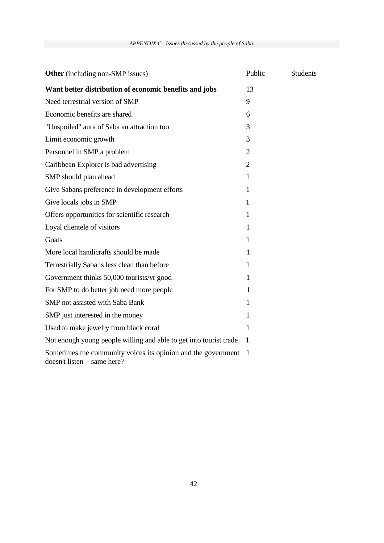*APPENDIX C. Issues discussed by the people of Saba.* 

| Other (including non-SMP issues)                                                             | Public         | <b>Students</b> |
|----------------------------------------------------------------------------------------------|----------------|-----------------|
| Want better distribution of economic benefits and jobs                                       | 13             |                 |
| Need terrestrial version of SMP                                                              | 9              |                 |
| Economic benefits are shared                                                                 | 6              |                 |
| "Unspoiled" aura of Saba an attraction too                                                   | 3              |                 |
| Limit economic growth                                                                        | 3              |                 |
| Personnel in SMP a problem                                                                   | $\overline{2}$ |                 |
| Caribbean Explorer is bad advertising                                                        | $\overline{2}$ |                 |
| SMP should plan ahead                                                                        | 1              |                 |
| Give Sabans preference in development efforts                                                | 1              |                 |
| Give locals jobs in SMP                                                                      | 1              |                 |
| Offers opportunities for scientific research                                                 | 1              |                 |
| Loyal clientele of visitors                                                                  | $\mathbf{1}$   |                 |
| Goats                                                                                        | 1              |                 |
| More local handicrafts should be made                                                        | $\mathbf{1}$   |                 |
| Terrestrially Saba is less clean than before                                                 | 1              |                 |
| Government thinks 50,000 tourists/yr good                                                    | 1              |                 |
| For SMP to do better job need more people                                                    | 1              |                 |
| SMP not assisted with Saba Bank                                                              | 1              |                 |
| SMP just interested in the money                                                             | 1              |                 |
| Used to make jewelry from black coral                                                        | 1              |                 |
| Not enough young people willing and able to get into tourist trade                           | $\mathbf{1}$   |                 |
| Sometimes the community voices its opinion and the government<br>doesn't listen - same here? | $\mathbf{1}$   |                 |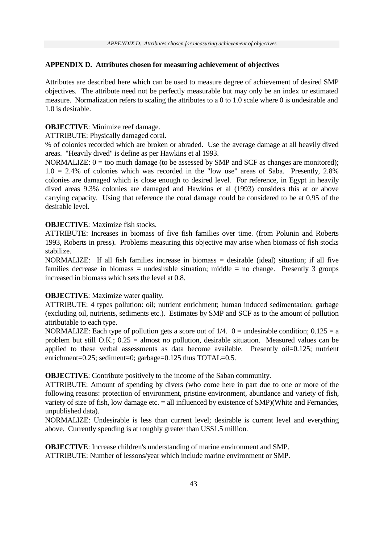#### **APPENDIX D. Attributes chosen for measuring achievement of objectives**

Attributes are described here which can be used to measure degree of achievement of desired SMP objectives. The attribute need not be perfectly measurable but may only be an index or estimated measure. Normalization refers to scaling the attributes to a 0 to 1.0 scale where 0 is undesirable and 1.0 is desirable.

#### **OBJECTIVE**: Minimize reef damage.

ATTRIBUTE: Physically damaged coral.

% of colonies recorded which are broken or abraded. Use the average damage at all heavily dived areas. "Heavily dived" is define as per Hawkins et al 1993.

NORMALIZE:  $0 =$  too much damage (to be assessed by SMP and SCF as changes are monitored);  $1.0 = 2.4\%$  of colonies which was recorded in the "low use" areas of Saba. Presently, 2.8% colonies are damaged which is close enough to desired level. For reference, in Egypt in heavily dived areas 9.3% colonies are damaged and Hawkins et al (1993) considers this at or above carrying capacity. Using that reference the coral damage could be considered to be at 0.95 of the desirable level.

# **OBJECTIVE:** Maximize fish stocks.

ATTRIBUTE: Increases in biomass of five fish families over time. (from Polunin and Roberts 1993, Roberts in press). Problems measuring this objective may arise when biomass of fish stocks stabilize.

NORMALIZE: If all fish families increase in biomass = desirable (ideal) situation; if all five families decrease in biomass = undesirable situation; middle = no change. Presently 3 groups increased in biomass which sets the level at 0.8.

#### **OBJECTIVE**: Maximize water quality.

ATTRIBUTE: 4 types pollution: oil; nutrient enrichment; human induced sedimentation; garbage (excluding oil, nutrients, sediments etc.). Estimates by SMP and SCF as to the amount of pollution attributable to each type.

NORMALIZE: Each type of pollution gets a score out of  $1/4$ .  $0 =$  undesirable condition;  $0.125 = a$ problem but still O.K.; 0.25 = almost no pollution, desirable situation. Measured values can be applied to these verbal assessments as data become available. Presently oil=0.125; nutrient enrichment=0.25; sediment=0; garbage=0.125 thus TOTAL=0.5.

**OBJECTIVE**: Contribute positively to the income of the Saban community.

ATTRIBUTE: Amount of spending by divers (who come here in part due to one or more of the following reasons: protection of environment, pristine environment, abundance and variety of fish, variety of size of fish, low damage etc. = all influenced by existence of SMP)(White and Fernandes, unpublished data).

NORMALIZE: Undesirable is less than current level; desirable is current level and everything above. Currently spending is at roughly greater than US\$1.5 million.

**OBJECTIVE**: Increase children's understanding of marine environment and SMP. ATTRIBUTE: Number of lessons/year which include marine environment or SMP.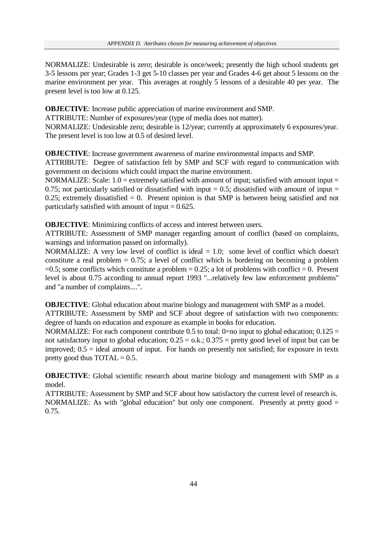NORMALIZE: Undesirable is zero; desirable is once/week; presently the high school students get 3-5 lessons per year; Grades 1-3 get 5-10 classes per year and Grades 4-6 get about 5 lessons on the marine environment per year. This averages at roughly 5 lessons of a desirable 40 per year. The present level is too low at 0.125.

**OBJECTIVE**: Increase public appreciation of marine environment and SMP.

ATTRIBUTE: Number of exposures/year (type of media does not matter).

NORMALIZE: Undesirable zero; desirable is 12/year; currently at approximately 6 exposures/year. The present level is too low at 0.5 of desired level.

**OBJECTIVE**: Increase government awareness of marine environmental impacts and SMP.

ATTRIBUTE: Degree of satisfaction felt by SMP and SCF with regard to communication with government on decisions which could impact the marine environment.

NORMALIZE: Scale:  $1.0$  = extremely satisfied with amount of input; satisfied with amount input = 0.75; not particularly satisfied or dissatisfied with input  $= 0.5$ ; dissatisfied with amount of input  $=$ 0.25; extremely dissatisfied  $= 0$ . Present opinion is that SMP is between being satisfied and not particularly satisfied with amount of input  $= 0.625$ .

**OBJECTIVE**: Minimizing conflicts of access and interest between users.

ATTRIBUTE: Assessment of SMP manager regarding amount of conflict (based on complaints, warnings and information passed on informally).

NORMALIZE: A very low level of conflict is ideal = 1.0; some level of conflict which doesn't constitute a real problem  $= 0.75$ ; a level of conflict which is bordering on becoming a problem  $=0.5$ ; some conflicts which constitute a problem  $= 0.25$ ; a lot of problems with conflict  $= 0$ . Present level is about 0.75 according to annual report 1993 "...relatively few law enforcement problems" and "a number of complaints....".

**OBJECTIVE**: Global education about marine biology and management with SMP as a model.

ATTRIBUTE: Assessment by SMP and SCF about degree of satisfaction with two components: degree of hands on education and exposure as example in books for education.

NORMALIZE: For each component contribute 0.5 to total: 0=no input to global education;  $0.125 =$ not satisfactory input to global education;  $0.25 = 0.$ k.;  $0.375 =$  pretty good level of input but can be improved;  $0.5$  = ideal amount of input. For hands on presently not satisfied; for exposure in texts pretty good thus  $\text{TOTAL} = 0.5$ .

**OBJECTIVE:** Global scientific research about marine biology and management with SMP as a model.

ATTRIBUTE: Assessment by SMP and SCF about how satisfactory the current level of research is. NORMALIZE: As with "global education" but only one component. Presently at pretty good = 0.75.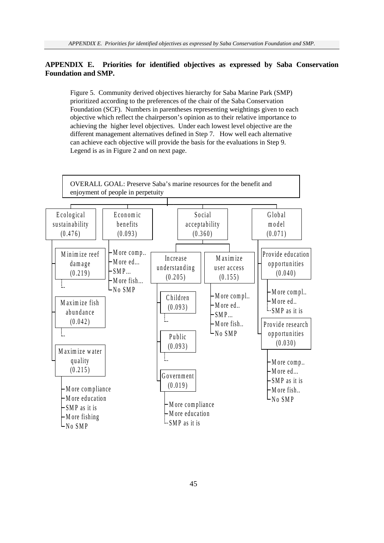## **APPENDIX E. Priorities for identified objectives as expressed by Saba Conservation Foundation and SMP.**

Figure 5. Community derived objectives hierarchy for Saba Marine Park (SMP) prioritized according to the preferences of the chair of the Saba Conservation Foundation (SCF). Numbers in parentheses representing weightings given to each objective which reflect the chairperson's opinion as to their relative importance to achieving the higher level objectives. Under each lowest level objective are the different management alternatives defined in Step 7. How well each alternative can achieve each objective will provide the basis for the evaluations in Step 9. Legend is as in Figure 2 and on next page.

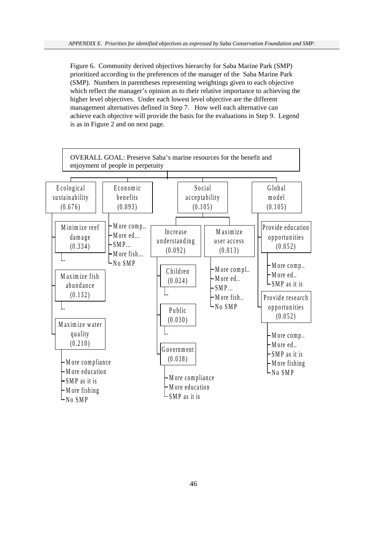Figure 6. Community derived objectives hierarchy for Saba Marine Park (SMP) prioritized according to the preferences of the manager of the Saba Marine Park (SMP). Numbers in parentheses representing weightings given to each objective which reflect the manager's opinion as to their relative importance to achieving the higher level objectives. Under each lowest level objective are the different management alternatives defined in Step 7. How well each alternative can achieve each objective will provide the basis for the evaluations in Step 9. Legend is as in Figure 2 and on next page.

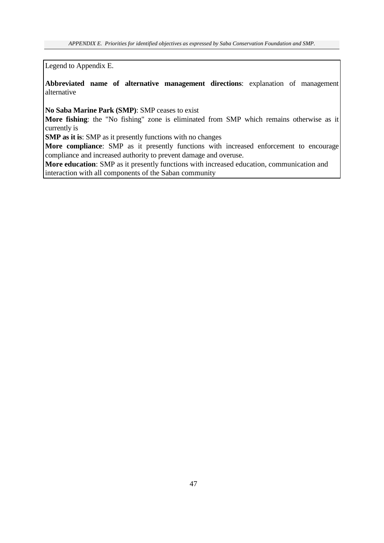Legend to Appendix E.

**Abbreviated name of alternative management directions**: explanation of management alternative

**No Saba Marine Park (SMP)**: SMP ceases to exist

**More fishing**: the "No fishing" zone is eliminated from SMP which remains otherwise as it currently is

**SMP as it is**: SMP as it presently functions with no changes

More compliance: SMP as it presently functions with increased enforcement to encourage compliance and increased authority to prevent damage and overuse.

**More education**: SMP as it presently functions with increased education, communication and interaction with all components of the Saban community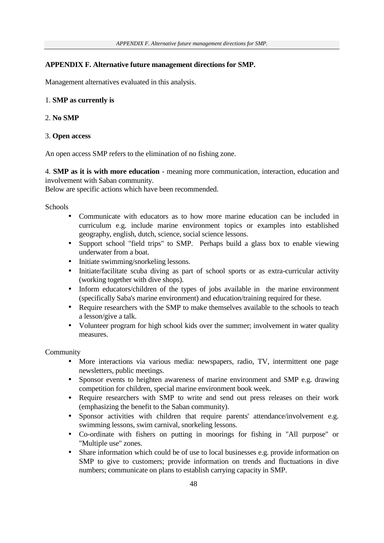## **APPENDIX F. Alternative future management directions for SMP.**

Management alternatives evaluated in this analysis.

#### 1. **SMP as currently is**

- 2. **No SMP**
- 3. **Open access**

An open access SMP refers to the elimination of no fishing zone.

4. **SMP as it is with more education** - meaning more communication, interaction, education and involvement with Saban community.

Below are specific actions which have been recommended.

Schools

- Communicate with educators as to how more marine education can be included in curriculum e.g. include marine environment topics or examples into established geography, english, dutch, science, social science lessons.
- Support school "field trips" to SMP. Perhaps build a glass box to enable viewing underwater from a boat.
- Initiate swimming/snorkeling lessons.
- Initiate/facilitate scuba diving as part of school sports or as extra-curricular activity (working together with dive shops).
- Inform educators/children of the types of jobs available in the marine environment (specifically Saba's marine environment) and education/training required for these.
- Require researchers with the SMP to make themselves available to the schools to teach a lesson/give a talk.
- Volunteer program for high school kids over the summer; involvement in water quality measures.

#### **Community**

- More interactions via various media: newspapers, radio, TV, intermittent one page newsletters, public meetings.
- Sponsor events to heighten awareness of marine environment and SMP e.g. drawing competition for children, special marine environment book week.
- Require researchers with SMP to write and send out press releases on their work (emphasizing the benefit to the Saban community).
- Sponsor activities with children that require parents' attendance/involvement e.g. swimming lessons, swim carnival, snorkeling lessons.
- Co-ordinate with fishers on putting in moorings for fishing in "All purpose" or "Multiple use" zones.
- Share information which could be of use to local businesses e.g. provide information on SMP to give to customers; provide information on trends and fluctuations in dive numbers; communicate on plans to establish carrying capacity in SMP.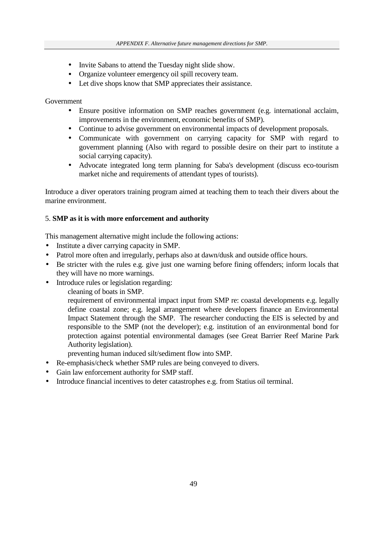- Invite Sabans to attend the Tuesday night slide show.
- Organize volunteer emergency oil spill recovery team.
- Let dive shops know that SMP appreciates their assistance.

Government

- Ensure positive information on SMP reaches government (e.g. international acclaim, improvements in the environment, economic benefits of SMP).
- Continue to advise government on environmental impacts of development proposals.
- Communicate with government on carrying capacity for SMP with regard to government planning (Also with regard to possible desire on their part to institute a social carrying capacity).
- Advocate integrated long term planning for Saba's development (discuss eco-tourism market niche and requirements of attendant types of tourists).

Introduce a diver operators training program aimed at teaching them to teach their divers about the marine environment.

# 5. **SMP as it is with more enforcement and authority**

This management alternative might include the following actions:

- Institute a diver carrying capacity in SMP.
- Patrol more often and irregularly, perhaps also at dawn/dusk and outside office hours.
- Be stricter with the rules e.g. give just one warning before fining offenders; inform locals that they will have no more warnings.
- Introduce rules or legislation regarding:
	- cleaning of boats in SMP.

requirement of environmental impact input from SMP re: coastal developments e.g. legally define coastal zone; e.g. legal arrangement where developers finance an Environmental Impact Statement through the SMP. The researcher conducting the EIS is selected by and responsible to the SMP (not the developer); e.g. institution of an environmental bond for protection against potential environmental damages (see Great Barrier Reef Marine Park Authority legislation).

preventing human induced silt/sediment flow into SMP.

- Re-emphasis/check whether SMP rules are being conveyed to divers.
- Gain law enforcement authority for SMP staff.
- Introduce financial incentives to deter catastrophes e.g. from Statius oil terminal.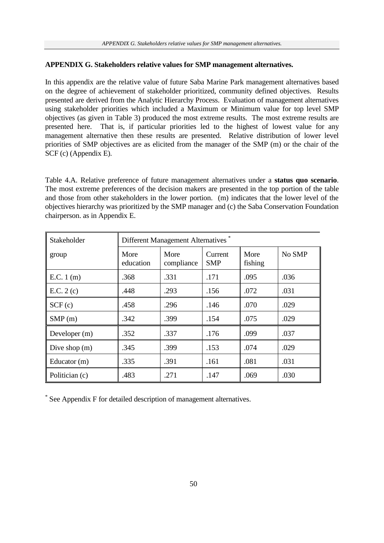#### **APPENDIX G. Stakeholders relative values for SMP management alternatives.**

In this appendix are the relative value of future Saba Marine Park management alternatives based on the degree of achievement of stakeholder prioritized, community defined objectives. Results presented are derived from the Analytic Hierarchy Process. Evaluation of management alternatives using stakeholder priorities which included a Maximum or Minimum value for top level SMP objectives (as given in Table 3) produced the most extreme results. The most extreme results are presented here. That is, if particular priorities led to the highest of lowest value for any management alternative then these results are presented. Relative distribution of lower level priorities of SMP objectives are as elicited from the manager of the SMP (m) or the chair of the SCF (c) (Appendix E).

Table 4.A. Relative preference of future management alternatives under a **status quo scenario**. The most extreme preferences of the decision makers are presented in the top portion of the table and those from other stakeholders in the lower portion. (m) indicates that the lower level of the objectives hierarchy was prioritized by the SMP manager and (c) the Saba Conservation Foundation chairperson. as in Appendix E.

| Stakeholder    | <b>Different Management Alternatives</b> |                    |                       |                 |        |
|----------------|------------------------------------------|--------------------|-----------------------|-----------------|--------|
| group          | More<br>education                        | More<br>compliance | Current<br><b>SMP</b> | More<br>fishing | No SMP |
| E.C. $1(m)$    | .368                                     | .331               | .171                  | .095            | .036   |
| E.C. 2(c)      | .448                                     | .293               | .156                  | .072            | .031   |
| SCF(c)         | .458                                     | .296               | .146                  | .070            | .029   |
| SMP(m)         | .342                                     | .399               | .154                  | .075            | .029   |
| Developer (m)  | .352                                     | .337               | .176                  | .099            | .037   |
| Dive shop (m)  | .345                                     | .399               | .153                  | .074            | .029   |
| Educator (m)   | .335                                     | .391               | .161                  | .081            | .031   |
| Politician (c) | .483                                     | .271               | .147                  | .069            | .030   |

\* See Appendix F for detailed description of management alternatives.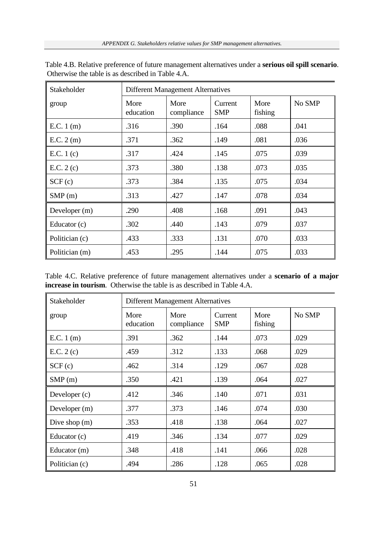| Stakeholder    | <b>Different Management Alternatives</b> |                    |                       |                 |        |
|----------------|------------------------------------------|--------------------|-----------------------|-----------------|--------|
| group          | More<br>education                        | More<br>compliance | Current<br><b>SMP</b> | More<br>fishing | No SMP |
| E.C. $1(m)$    | .316                                     | .390               | .164                  | .088            | .041   |
| E.C. 2(m)      | .371                                     | .362               | .149                  | .081            | .036   |
| E.C. $1(c)$    | .317                                     | .424               | .145                  | .075            | .039   |
| E.C. 2(c)      | .373                                     | .380               | .138                  | .073            | .035   |
| SCF(c)         | .373                                     | .384               | .135                  | .075            | .034   |
| SMP(m)         | .313                                     | .427               | .147                  | .078            | .034   |
| Developer (m)  | .290                                     | .408               | .168                  | .091            | .043   |
| Educator (c)   | .302                                     | .440               | .143                  | .079            | .037   |
| Politician (c) | .433                                     | .333               | .131                  | .070            | .033   |
| Politician (m) | .453                                     | .295               | .144                  | .075            | .033   |

Table 4.B. Relative preference of future management alternatives under a **serious oil spill scenario**. Otherwise the table is as described in Table 4.A.

Table 4.C. Relative preference of future management alternatives under a **scenario of a major increase in tourism**. Otherwise the table is as described in Table 4.A.

| Stakeholder     | <b>Different Management Alternatives</b> |                    |                       |                 |        |
|-----------------|------------------------------------------|--------------------|-----------------------|-----------------|--------|
| group           | More<br>education                        | More<br>compliance | Current<br><b>SMP</b> | More<br>fishing | No SMP |
| E.C.1(m)        | .391                                     | .362               | .144                  | .073            | .029   |
| E.C. 2(c)       | .459                                     | .312               | .133                  | .068            | .029   |
| SCF(c)          | .462                                     | .314               | .129                  | .067            | .028   |
| SMP(m)          | .350                                     | .421               | .139                  | .064            | .027   |
| Developer (c)   | .412                                     | .346               | .140                  | .071            | .031   |
| Developer (m)   | .377                                     | .373               | .146                  | .074            | .030   |
| Dive shop $(m)$ | .353                                     | .418               | .138                  | .064            | .027   |
| Educator $(c)$  | .419                                     | .346               | .134                  | .077            | .029   |
| Educator (m)    | .348                                     | .418               | .141                  | .066            | .028   |
| Politician (c)  | .494                                     | .286               | .128                  | .065            | .028   |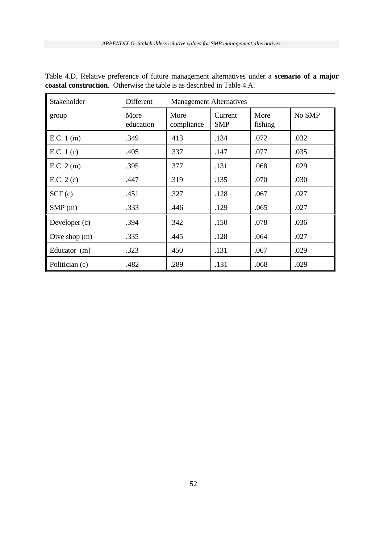| Stakeholder     | Different         | <b>Management Alternatives</b> |                       |                 |        |
|-----------------|-------------------|--------------------------------|-----------------------|-----------------|--------|
| group           | More<br>education | More<br>compliance             | Current<br><b>SMP</b> | More<br>fishing | No SMP |
| E.C.1(m)        | .349              | .413                           | .134                  | .072            | .032   |
| E.C. $1(c)$     | .405              | .337                           | .147                  | .077            | .035   |
| E.C. 2(m)       | .395              | .377                           | .131                  | .068            | .029   |
| E.C. 2(c)       | .447              | .319                           | .135                  | .070            | .030   |
| SCF(c)          | .451              | .327                           | .128                  | .067            | .027   |
| SMP(m)          | .333              | .446                           | .129                  | .065            | .027   |
| Developer (c)   | .394              | .342                           | .150                  | .078            | .036   |
| Dive shop $(m)$ | .335              | .445                           | .128                  | .064            | .027   |
| Educator (m)    | .323              | .450                           | .131                  | .067            | .029   |
| Politician (c)  | .482              | .289                           | .131                  | .068            | .029   |

Table 4.D. Relative preference of future management alternatives under a **scenario of a major coastal construction**. Otherwise the table is as described in Table 4.A.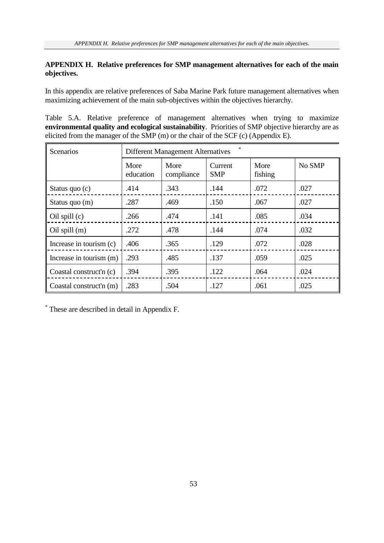# **APPENDIX H. Relative preferences for SMP management alternatives for each of the main objectives.**

In this appendix are relative preferences of Saba Marine Park future management alternatives when maximizing achievement of the main sub-objectives within the objectives hierarchy.

Table 5.A. Relative preference of management alternatives when trying to maximize **environmental quality and ecological sustainability**. Priorities of SMP objective hierarchy are as elicited from the manager of the SMP (m) or the chair of the SCF (c) (Appendix E).

| Scenarios                 | <b>Different Management Alternatives</b> |                    |                       |                 |        |
|---------------------------|------------------------------------------|--------------------|-----------------------|-----------------|--------|
|                           | More<br>education                        | More<br>compliance | Current<br><b>SMP</b> | More<br>fishing | No SMP |
| Status quo $(c)$          | .414                                     | .343               | .144                  | .072            | .027   |
| Status quo (m)            | .287                                     | .469               | .150                  | .067            | .027   |
| Oil spill $(c)$           | .266                                     | .474               | .141                  | .085            | .034   |
| $Oil$ spill $(m)$         | .272                                     | .478               | .144                  | .074            | .032   |
| Increase in tourism (c)   | .406                                     | .365               | .129                  | .072            | .028   |
| Increase in tourism (m)   | .293                                     | .485               | .137                  | .059            | .025   |
| Coastal construct'n (c)   | .394                                     | .395               | .122                  | .064            | .024   |
| Coastal construct'n $(m)$ | .283                                     | .504               | .127                  | .061            | .025   |

\* These are described in detail in Appendix F.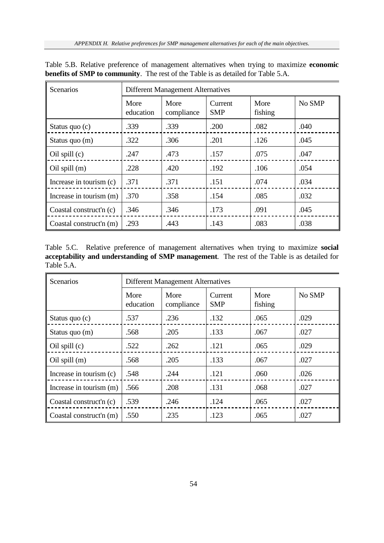| Scenarios                 | <b>Different Management Alternatives</b> |                    |                       |                 |        |
|---------------------------|------------------------------------------|--------------------|-----------------------|-----------------|--------|
|                           | More<br>education                        | More<br>compliance | Current<br><b>SMP</b> | More<br>fishing | No SMP |
| Status quo (c)            | .339                                     | .339               | .200                  | .082            | .040   |
| Status quo (m)            | .322                                     | .306               | .201                  | .126            | .045   |
| Oil spill $(c)$           | .247                                     | .473               | .157                  | .075            | .047   |
| Oil spill $(m)$           | .228                                     | .420               | .192                  | .106            | .054   |
| Increase in tourism (c)   | .371                                     | .371               | .151                  | .074            | .034   |
| Increase in tourism (m)   | .370                                     | .358               | .154                  | .085            | .032   |
| Coastal construct'n (c)   | .346                                     | .346               | .173                  | .091            | .045   |
| Coastal construct'n $(m)$ | .293                                     | .443               | .143                  | .083            | .038   |

Table 5.B. Relative preference of management alternatives when trying to maximize **economic benefits of SMP to community**. The rest of the Table is as detailed for Table 5.A.

Table 5.C. Relative preference of management alternatives when trying to maximize **social acceptability and understanding of SMP management**. The rest of the Table is as detailed for Table 5.A.

 $\mathbf{r}$ 

| Scenarios               | <b>Different Management Alternatives</b> |                    |                       |                 |        |
|-------------------------|------------------------------------------|--------------------|-----------------------|-----------------|--------|
|                         | More<br>education                        | More<br>compliance | Current<br><b>SMP</b> | More<br>fishing | No SMP |
| Status quo $(c)$        | .537                                     | .236               | .132                  | .065            | .029   |
| Status quo (m)          | .568                                     | .205               | .133                  | .067            | .027   |
| Oil spill $(c)$         | .522                                     | .262               | .121                  | .065            | .029   |
| $Oil$ spill $(m)$       | .568                                     | .205               | .133                  | .067            | .027   |
| Increase in tourism (c) | .548                                     | .244               | .121                  | .060            | .026   |
| Increase in tourism (m) | .566                                     | .208               | .131                  | .068            | .027   |
| Coastal construct'n (c) | .539                                     | .246               | .124                  | .065            | .027   |
| Coastal construct'n (m) | .550                                     | .235               | .123                  | .065            | .027   |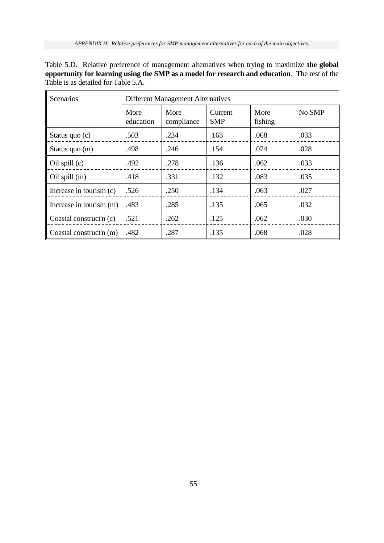Table 5.D. Relative preference of management alternatives when trying to maximize **the global opportunity for learning using the SMP as a model for research and education**. The rest of the Table is as detailed for Table 5.A.

| Scenarios               | <b>Different Management Alternatives</b> |                    |                       |                 |        |
|-------------------------|------------------------------------------|--------------------|-----------------------|-----------------|--------|
|                         | More<br>education                        | More<br>compliance | Current<br><b>SMP</b> | More<br>fishing | No SMP |
| Status quo $(c)$        | .503                                     | .234               | .163                  | .068            | .033   |
| Status quo (m)          | .498                                     | .246               | .154                  | .074            | .028   |
| Oil spill (c)           | .492                                     | .278               | .136                  | .062            | .033   |
| $Oil$ spill $(m)$       | .418                                     | .331               | .132                  | .083            | .035   |
| Increase in tourism (c) | .526                                     | .250               | .134                  | .063            | .027   |
| Increase in tourism (m) | .483                                     | .285               | .135                  | .065            | .032   |
| Coastal construct'n (c) | .521                                     | .262               | .125                  | .062            | .030   |
| Coastal construct'n (m) | .482                                     | .287               | .135                  | .068            | .028   |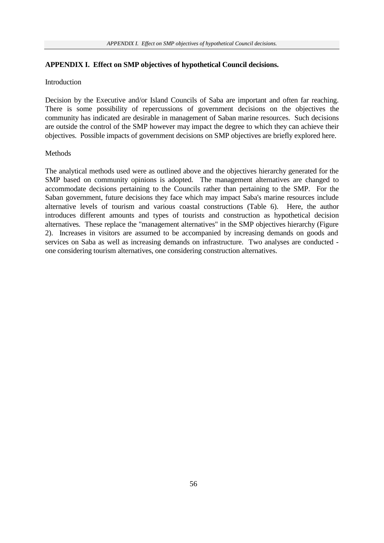#### **APPENDIX I. Effect on SMP objectives of hypothetical Council decisions.**

#### Introduction

Decision by the Executive and/or Island Councils of Saba are important and often far reaching. There is some possibility of repercussions of government decisions on the objectives the community has indicated are desirable in management of Saban marine resources. Such decisions are outside the control of the SMP however may impact the degree to which they can achieve their objectives. Possible impacts of government decisions on SMP objectives are briefly explored here.

## **Methods**

The analytical methods used were as outlined above and the objectives hierarchy generated for the SMP based on community opinions is adopted. The management alternatives are changed to accommodate decisions pertaining to the Councils rather than pertaining to the SMP. For the Saban government, future decisions they face which may impact Saba's marine resources include alternative levels of tourism and various coastal constructions (Table 6). Here, the author introduces different amounts and types of tourists and construction as hypothetical decision alternatives. These replace the "management alternatives" in the SMP objectives hierarchy (Figure 2). Increases in visitors are assumed to be accompanied by increasing demands on goods and services on Saba as well as increasing demands on infrastructure. Two analyses are conducted one considering tourism alternatives, one considering construction alternatives.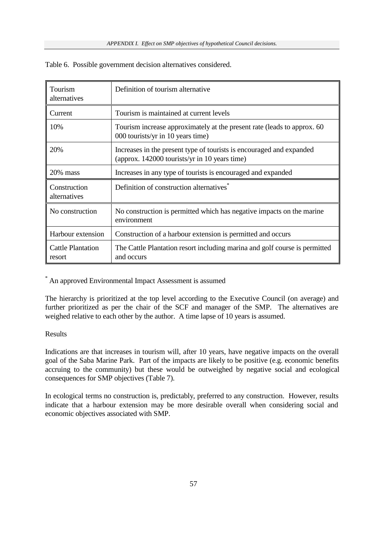| Tourism<br>alternatives            | Definition of tourism alternative                                                                                     |
|------------------------------------|-----------------------------------------------------------------------------------------------------------------------|
| Current                            | Tourism is maintained at current levels                                                                               |
| 10%                                | Tourism increase approximately at the present rate (leads to approx. 60)<br>000 tourists/yr in 10 years time)         |
| 20%                                | Increases in the present type of tourists is encouraged and expanded<br>(approx. 142000 tourists/yr in 10 years time) |
| $20\%$ mass                        | Increases in any type of tourists is encouraged and expanded                                                          |
| Construction<br>alternatives       | Definition of construction alternatives <sup>*</sup>                                                                  |
| No construction                    | No construction is permitted which has negative impacts on the marine<br>environment                                  |
| Harbour extension                  | Construction of a harbour extension is permitted and occurs                                                           |
| <b>Cattle Plantation</b><br>resort | The Cattle Plantation resort including marina and golf course is permitted<br>and occurs                              |

Table 6. Possible government decision alternatives considered.

\* An approved Environmental Impact Assessment is assumed

The hierarchy is prioritized at the top level according to the Executive Council (on average) and further prioritized as per the chair of the SCF and manager of the SMP. The alternatives are weighed relative to each other by the author. A time lapse of 10 years is assumed.

## Results

Indications are that increases in tourism will, after 10 years, have negative impacts on the overall goal of the Saba Marine Park. Part of the impacts are likely to be positive (e.g. economic benefits accruing to the community) but these would be outweighed by negative social and ecological consequences for SMP objectives (Table 7).

In ecological terms no construction is, predictably, preferred to any construction. However, results indicate that a harbour extension may be more desirable overall when considering social and economic objectives associated with SMP.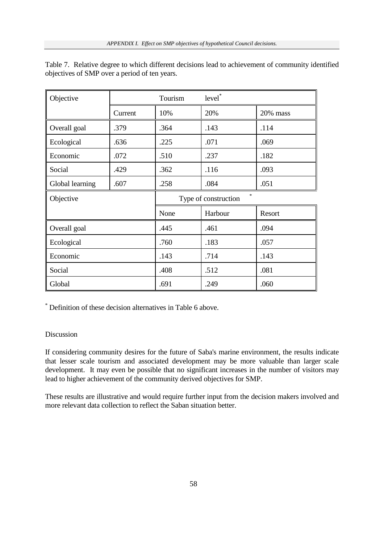| Objective       |                                | Tourism | $level^*$ |          |
|-----------------|--------------------------------|---------|-----------|----------|
|                 | Current                        | 10%     | 20%       | 20% mass |
| Overall goal    | .379                           | .364    | .143      | .114     |
| Ecological      | .636                           | .225    | .071      | .069     |
| Economic        | .072                           | .510    | .237      | .182     |
| Social          | .429                           | .362    | .116      | .093     |
| Global learning | .607                           | .258    | .084      | .051     |
|                 | $\ast$<br>Type of construction |         |           |          |
| Objective       |                                |         |           |          |
|                 |                                | None    | Harbour   | Resort   |
| Overall goal    |                                | .445    | .461      | .094     |
| Ecological      |                                | .760    | .183      | .057     |
| Economic        |                                | .143    | .714      | .143     |
| Social          |                                | .408    | .512      | .081     |

Table 7. Relative degree to which different decisions lead to achievement of community identified objectives of SMP over a period of ten years.

\* Definition of these decision alternatives in Table 6 above.

## Discussion

If considering community desires for the future of Saba's marine environment, the results indicate that lesser scale tourism and associated development may be more valuable than larger scale development. It may even be possible that no significant increases in the number of visitors may lead to higher achievement of the community derived objectives for SMP.

These results are illustrative and would require further input from the decision makers involved and more relevant data collection to reflect the Saban situation better.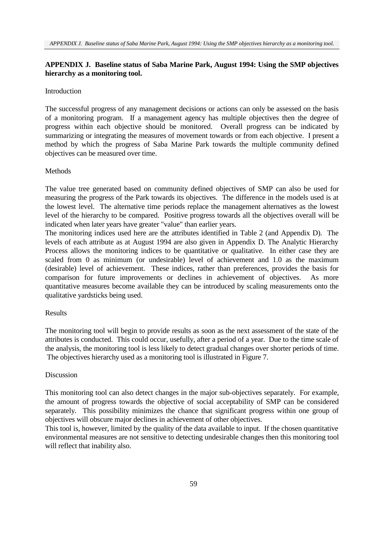# **APPENDIX J. Baseline status of Saba Marine Park, August 1994: Using the SMP objectives hierarchy as a monitoring tool.**

### Introduction

The successful progress of any management decisions or actions can only be assessed on the basis of a monitoring program. If a management agency has multiple objectives then the degree of progress within each objective should be monitored. Overall progress can be indicated by summarizing or integrating the measures of movement towards or from each objective. I present a method by which the progress of Saba Marine Park towards the multiple community defined objectives can be measured over time.

#### Methods

The value tree generated based on community defined objectives of SMP can also be used for measuring the progress of the Park towards its objectives. The difference in the models used is at the lowest level. The alternative time periods replace the management alternatives as the lowest level of the hierarchy to be compared. Positive progress towards all the objectives overall will be indicated when later years have greater "value" than earlier years.

The monitoring indices used here are the attributes identified in Table 2 (and Appendix D). The levels of each attribute as at August 1994 are also given in Appendix D. The Analytic Hierarchy Process allows the monitoring indices to be quantitative or qualitative. In either case they are scaled from 0 as minimum (or undesirable) level of achievement and 1.0 as the maximum (desirable) level of achievement. These indices, rather than preferences, provides the basis for comparison for future improvements or declines in achievement of objectives. As more quantitative measures become available they can be introduced by scaling measurements onto the qualitative yardsticks being used.

#### Results

The monitoring tool will begin to provide results as soon as the next assessment of the state of the attributes is conducted. This could occur, usefully, after a period of a year. Due to the time scale of the analysis, the monitoring tool is less likely to detect gradual changes over shorter periods of time. The objectives hierarchy used as a monitoring tool is illustrated in Figure 7.

#### Discussion

This monitoring tool can also detect changes in the major sub-objectives separately. For example, the amount of progress towards the objective of social acceptability of SMP can be considered separately. This possibility minimizes the chance that significant progress within one group of objectives will obscure major declines in achievement of other objectives.

This tool is, however, limited by the quality of the data available to input. If the chosen quantitative environmental measures are not sensitive to detecting undesirable changes then this monitoring tool will reflect that inability also.